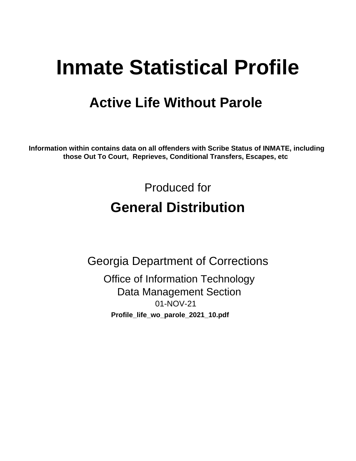# **Inmate Statistical Profile**

# **Active Life Without Parole**

Information within contains data on all offenders with Scribe Status of INMATE, including those Out To Court, Reprieves, Conditional Transfers, Escapes, etc

> Produced for **General Distribution**

**Georgia Department of Corrections Office of Information Technology Data Management Section** 01-NOV-21 Profile\_life\_wo\_parole\_2021\_10.pdf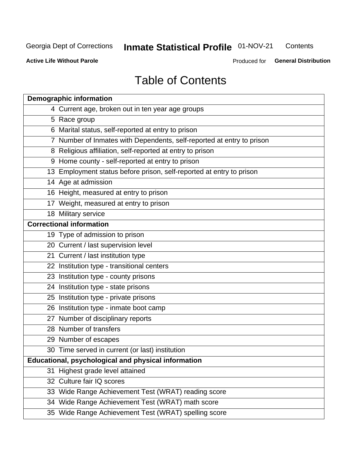#### Inmate Statistical Profile 01-NOV-21 Contents

**Active Life Without Parole** 

Produced for General Distribution

# **Table of Contents**

|    | <b>Demographic information</b>                                        |
|----|-----------------------------------------------------------------------|
|    | 4 Current age, broken out in ten year age groups                      |
|    | 5 Race group                                                          |
|    | 6 Marital status, self-reported at entry to prison                    |
|    | 7 Number of Inmates with Dependents, self-reported at entry to prison |
|    | 8 Religious affiliation, self-reported at entry to prison             |
|    | 9 Home county - self-reported at entry to prison                      |
|    | 13 Employment status before prison, self-reported at entry to prison  |
|    | 14 Age at admission                                                   |
|    | 16 Height, measured at entry to prison                                |
|    | 17 Weight, measured at entry to prison                                |
|    | 18 Military service                                                   |
|    | <b>Correctional information</b>                                       |
|    | 19 Type of admission to prison                                        |
|    | 20 Current / last supervision level                                   |
|    | 21 Current / last institution type                                    |
|    | 22 Institution type - transitional centers                            |
|    | 23 Institution type - county prisons                                  |
|    | 24 Institution type - state prisons                                   |
|    | 25 Institution type - private prisons                                 |
|    | 26 Institution type - inmate boot camp                                |
|    | 27 Number of disciplinary reports                                     |
|    | 28 Number of transfers                                                |
|    | 29 Number of escapes                                                  |
|    | 30 Time served in current (or last) institution                       |
|    | Educational, psychological and physical information                   |
| 31 | Highest grade level attained                                          |
|    | 32 Culture fair IQ scores                                             |
|    | 33 Wide Range Achievement Test (WRAT) reading score                   |
|    | 34 Wide Range Achievement Test (WRAT) math score                      |
|    | 35 Wide Range Achievement Test (WRAT) spelling score                  |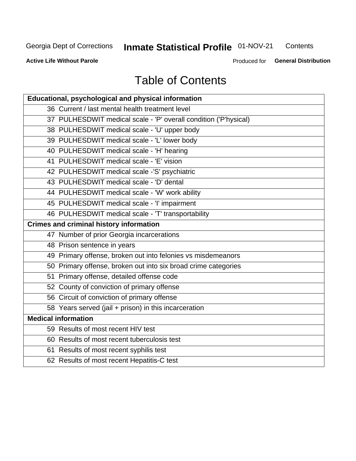# Inmate Statistical Profile 01-NOV-21

Contents

**Active Life Without Parole** 

Produced for General Distribution

# **Table of Contents**

| Educational, psychological and physical information              |
|------------------------------------------------------------------|
| 36 Current / last mental health treatment level                  |
| 37 PULHESDWIT medical scale - 'P' overall condition ('P'hysical) |
| 38 PULHESDWIT medical scale - 'U' upper body                     |
| 39 PULHESDWIT medical scale - 'L' lower body                     |
| 40 PULHESDWIT medical scale - 'H' hearing                        |
| 41 PULHESDWIT medical scale - 'E' vision                         |
| 42 PULHESDWIT medical scale -'S' psychiatric                     |
| 43 PULHESDWIT medical scale - 'D' dental                         |
| 44 PULHESDWIT medical scale - 'W' work ability                   |
| 45 PULHESDWIT medical scale - 'I' impairment                     |
| 46 PULHESDWIT medical scale - 'T' transportability               |
| <b>Crimes and criminal history information</b>                   |
| 47 Number of prior Georgia incarcerations                        |
| 48 Prison sentence in years                                      |
| 49 Primary offense, broken out into felonies vs misdemeanors     |
| 50 Primary offense, broken out into six broad crime categories   |
| 51 Primary offense, detailed offense code                        |
| 52 County of conviction of primary offense                       |
| 56 Circuit of conviction of primary offense                      |
| 58 Years served (jail + prison) in this incarceration            |
| <b>Medical information</b>                                       |
| 59 Results of most recent HIV test                               |
| 60 Results of most recent tuberculosis test                      |
| 61 Results of most recent syphilis test                          |
| 62 Results of most recent Hepatitis-C test                       |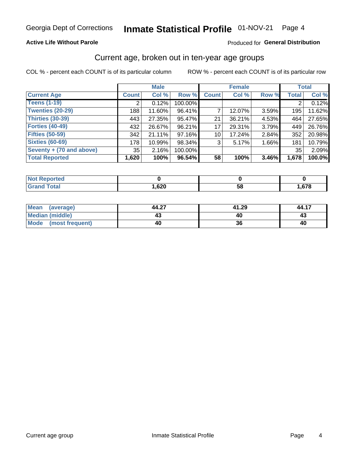## **Active Life Without Parole**

### Produced for General Distribution

# Current age, broken out in ten-year age groups

COL % - percent each COUNT is of its particular column

|                          | <b>Male</b>  |        |         | <b>Female</b>   |        |       | <b>Total</b> |        |
|--------------------------|--------------|--------|---------|-----------------|--------|-------|--------------|--------|
| <b>Current Age</b>       | <b>Count</b> | Col %  | Row %   | <b>Count</b>    | Col %  | Row % | <b>Total</b> | Col %  |
| <b>Teens (1-19)</b>      | ⌒            | 0.12%  | 100.00% |                 |        |       | 2            | 0.12%  |
| <b>Twenties (20-29)</b>  | 188          | 11.60% | 96.41%  |                 | 12.07% | 3.59% | 195          | 11.62% |
| Thirties (30-39)         | 443          | 27.35% | 95.47%  | 21              | 36.21% | 4.53% | 464          | 27.65% |
| <b>Forties (40-49)</b>   | 432          | 26.67% | 96.21%  | 17              | 29.31% | 3.79% | 449          | 26.76% |
| <b>Fifties (50-59)</b>   | 342          | 21.11% | 97.16%  | 10 <sup>1</sup> | 17.24% | 2.84% | 352          | 20.98% |
| <b>Sixties (60-69)</b>   | 178          | 10.99% | 98.34%  | 3               | 5.17%  | 1.66% | 181          | 10.79% |
| Seventy + (70 and above) | 35           | 2.16%  | 100.00% |                 |        |       | 35           | 2.09%  |
| <b>Total Reported</b>    | 1,620        | 100%   | 96.54%  | 58              | 100%   | 3.46% | 1,678        | 100.0% |

| <b><i>Contractor</i></b><br>N<br>тег |             |          |            |
|--------------------------------------|-------------|----------|------------|
| $f \wedge f \wedge f$                | con<br>,02U | co<br>วด | <b>C70</b> |

| Mean (average)         | 44.27 | 41.29 | 44.17 |
|------------------------|-------|-------|-------|
| <b>Median (middle)</b> |       |       | 43    |
| Mode (most frequent)   | 40    |       | 40    |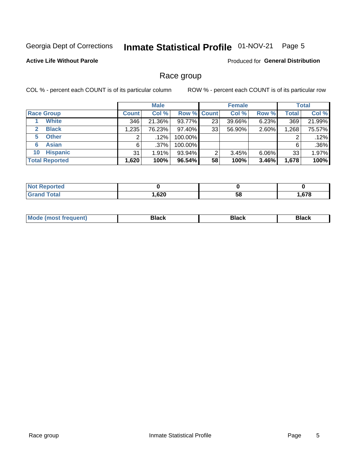#### Inmate Statistical Profile 01-NOV-21 Page 5

## **Active Life Without Parole**

Produced for General Distribution

# Race group

COL % - percent each COUNT is of its particular column

|                              |              | <b>Male</b> |           |                    | <b>Female</b> |          |       | <b>Total</b> |  |
|------------------------------|--------------|-------------|-----------|--------------------|---------------|----------|-------|--------------|--|
| <b>Race Group</b>            | <b>Count</b> | Col %       |           | <b>Row % Count</b> | Col %         | Row %    | Total | Col %        |  |
| <b>White</b>                 | 346          | 21.36%      | 93.77%    | 23                 | 39.66%        | 6.23%    | 369   | 21.99%       |  |
| <b>Black</b><br>$\mathbf{2}$ | 1,235        | 76.23%      | 97.40%    | 33                 | 56.90%        | 2.60%    | 1,268 | 75.57%       |  |
| <b>Other</b><br>5.           |              | $.12\%$     | 100.00%   |                    |               |          | 2     | .12%         |  |
| <b>Asian</b><br>6            | 6            | $.37\%$     | 100.00%   |                    |               |          | 6     | .36%         |  |
| <b>Hispanic</b><br>10        | 31           | 1.91%       | 93.94%    | 2                  | 3.45%         | $6.06\%$ | 33    | 1.97%        |  |
| <b>Total Reported</b>        | 1,620        | 100%        | $96.54\%$ | 58                 | 100%          | 3.46%    | 1,678 | 100%         |  |

| rted         |      |    |        |
|--------------|------|----|--------|
| <b>Total</b> | ,620 | ာင | $\sim$ |

| –•••• |  | M |  |  |  |
|-------|--|---|--|--|--|
|-------|--|---|--|--|--|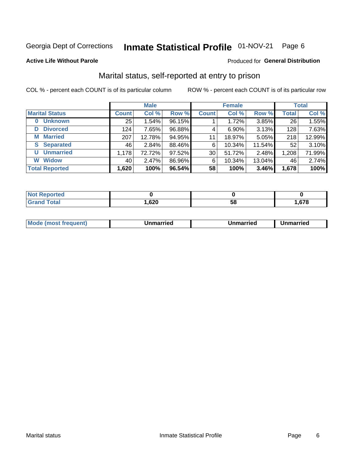#### Inmate Statistical Profile 01-NOV-21 Page 6

### **Active Life Without Parole**

### Produced for General Distribution

# Marital status, self-reported at entry to prison

COL % - percent each COUNT is of its particular column

|                            | <b>Male</b>  |        |        |              | <b>Female</b> | <b>Total</b> |              |        |
|----------------------------|--------------|--------|--------|--------------|---------------|--------------|--------------|--------|
| <b>Marital Status</b>      | <b>Count</b> | Col %  | Row %  | <b>Count</b> | Col %         | Row %        | <b>Total</b> | Col %  |
| <b>Unknown</b><br>$\bf{0}$ | 25           | 1.54%  | 96.15% |              | 1.72%         | 3.85%        | 26           | 1.55%  |
| <b>Divorced</b><br>D       | 124          | 7.65%  | 96.88% | 4            | $6.90\%$      | 3.13%        | 128          | 7.63%  |
| <b>Married</b><br>М        | 207          | 12.78% | 94.95% | 11           | 18.97%        | 5.05%        | 218          | 12.99% |
| <b>Separated</b><br>S.     | 46           | 2.84%  | 88.46% | 6            | 10.34%        | 11.54%       | 52           | 3.10%  |
| <b>Unmarried</b><br>U      | 1,178        | 72.72% | 97.52% | 30           | 51.72%        | 2.48%        | 1,208        | 71.99% |
| <b>Widow</b><br>W          | 40           | 2.47%  | 86.96% | 6            | 10.34%        | 13.04%       | 46           | 2.74%  |
| <b>Total Reported</b>      | 1,620        | 100%   | 96.54% | 58           | 100%          | 3.46%        | 1,678        | 100%   |

| rted<br>NO<br>. <u>.</u> |                    |    |     |
|--------------------------|--------------------|----|-----|
| Total                    | <b>GOC</b><br>,vzv | ວດ | 678 |

|--|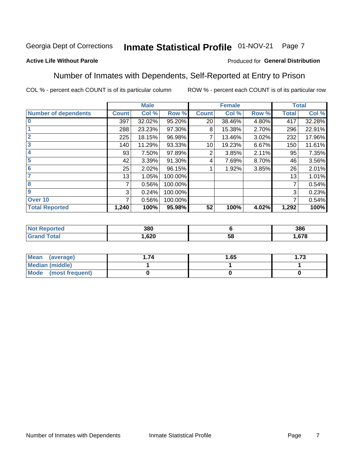#### Inmate Statistical Profile 01-NOV-21 Page 7

## **Active Life Without Parole**

### Produced for General Distribution

# Number of Inmates with Dependents, Self-Reported at Entry to Prison

COL % - percent each COUNT is of its particular column

|                             |              | <b>Male</b> |         |              | <b>Female</b> |       |              | <b>Total</b> |
|-----------------------------|--------------|-------------|---------|--------------|---------------|-------|--------------|--------------|
| <b>Number of dependents</b> | <b>Count</b> | Col %       | Row %   | <b>Count</b> | Col %         | Row % | <b>Total</b> | Col %        |
| $\bf{0}$                    | 397          | 32.02%      | 95.20%  | 20           | 38.46%        | 4.80% | 417          | 32.28%       |
|                             | 288          | 23.23%      | 97.30%  | 8            | 15.38%        | 2.70% | 296          | 22.91%       |
| $\overline{2}$              | 225          | 18.15%      | 96.98%  |              | 13.46%        | 3.02% | 232          | 17.96%       |
| 3                           | 140          | 11.29%      | 93.33%  | 10           | 19.23%        | 6.67% | 150          | 11.61%       |
| 4                           | 93           | 7.50%       | 97.89%  | 2            | 3.85%         | 2.11% | 95           | 7.35%        |
| 5                           | 42           | 3.39%       | 91.30%  | 4            | 7.69%         | 8.70% | 46           | 3.56%        |
| $6\phantom{1}6$             | 25           | 2.02%       | 96.15%  |              | 1.92%         | 3.85% | 26           | 2.01%        |
| 7                           | 13           | 1.05%       | 100.00% |              |               |       | 13           | 1.01%        |
| 8                           | 7            | 0.56%       | 100.00% |              |               |       | 7            | 0.54%        |
| $\boldsymbol{9}$            | 3            | 0.24%       | 100.00% |              |               |       | 3            | 0.23%        |
| Over 10                     | 7            | 0.56%       | 100.00% |              |               |       | 7            | 0.54%        |
| <b>Total Reported</b>       | 1,240        | 100%        | 95.98%  | 52           | 100%          | 4.02% | 1,292        | 100%         |

| 380        |          | 386  |
|------------|----------|------|
| ,620<br>__ | EС<br>ວເ | .678 |

| <b>Mean</b><br>(average) | 1.65 | - 72<br>I. I J |
|--------------------------|------|----------------|
| Median (middle)          |      |                |
| Mode<br>(most frequent)  |      |                |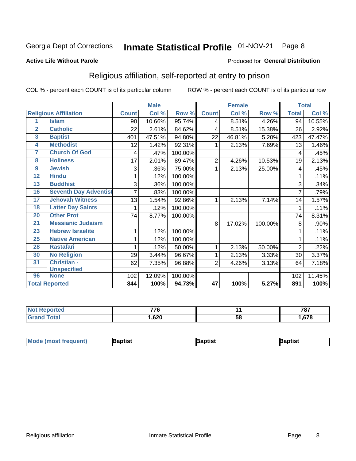#### Inmate Statistical Profile 01-NOV-21 Page 8

### **Active Life Without Parole**

### Produced for General Distribution

# Religious affiliation, self-reported at entry to prison

COL % - percent each COUNT is of its particular column

|                 |                              |              | <b>Male</b> |         |                 | <b>Female</b>             |         |              | <b>Total</b> |
|-----------------|------------------------------|--------------|-------------|---------|-----------------|---------------------------|---------|--------------|--------------|
|                 | <b>Religious Affiliation</b> | <b>Count</b> | Col %       | Row %   | <b>Count</b>    | $\overline{\text{Col}}$ % | Row %   | <b>Total</b> | Col %        |
| 1               | <b>Islam</b>                 | 90           | 10.66%      | 95.74%  | 4               | 8.51%                     | 4.26%   | 94           | 10.55%       |
| $\overline{2}$  | <b>Catholic</b>              | 22           | 2.61%       | 84.62%  | 4               | 8.51%                     | 15.38%  | 26           | 2.92%        |
| 3               | <b>Baptist</b>               | 401          | 47.51%      | 94.80%  | 22              | 46.81%                    | 5.20%   | 423          | 47.47%       |
| 4               | <b>Methodist</b>             | 12           | 1.42%       | 92.31%  |                 | 2.13%                     | 7.69%   | 13           | 1.46%        |
| 7               | <b>Church Of God</b>         | 4            | .47%        | 100.00% |                 |                           |         | 4            | .45%         |
| 8               | <b>Holiness</b>              | 17           | 2.01%       | 89.47%  | $\overline{2}$  | 4.26%                     | 10.53%  | 19           | 2.13%        |
| 9               | <b>Jewish</b>                | 3            | .36%        | 75.00%  | 1               | 2.13%                     | 25.00%  | 4            | .45%         |
| $\overline{12}$ | <b>Hindu</b>                 |              | .12%        | 100.00% |                 |                           |         |              | .11%         |
| 13              | <b>Buddhist</b>              | 3            | .36%        | 100.00% |                 |                           |         | 3            | .34%         |
| 16              | <b>Seventh Day Adventist</b> | 7            | .83%        | 100.00% |                 |                           |         | 7            | .79%         |
| 17              | <b>Jehovah Witness</b>       | 13           | 1.54%       | 92.86%  | 1               | 2.13%                     | 7.14%   | 14           | 1.57%        |
| 18              | <b>Latter Day Saints</b>     | 1            | .12%        | 100.00% |                 |                           |         | 1            | .11%         |
| 20              | <b>Other Prot</b>            | 74           | 8.77%       | 100.00% |                 |                           |         | 74           | 8.31%        |
| 21              | <b>Messianic Judaism</b>     |              |             |         | 8               | 17.02%                    | 100.00% | 8            | .90%         |
| 23              | <b>Hebrew Israelite</b>      | 1            | .12%        | 100.00% |                 |                           |         |              | .11%         |
| 25              | <b>Native American</b>       |              | .12%        | 100.00% |                 |                           |         |              | .11%         |
| 28              | <b>Rastafari</b>             |              | .12%        | 50.00%  | 1               | 2.13%                     | 50.00%  | 2            | .22%         |
| 30              | <b>No Religion</b>           | 29           | 3.44%       | 96.67%  | 1               | 2.13%                     | 3.33%   | 30           | 3.37%        |
| 31              | Christian -                  | 62           | 7.35%       | 96.88%  | $\overline{2}$  | 4.26%                     | 3.13%   | 64           | 7.18%        |
|                 | <b>Unspecified</b>           |              |             |         |                 |                           |         |              |              |
| 96              | <b>None</b>                  | 102          | 12.09%      | 100.00% |                 |                           |         | 102          | 11.45%       |
|                 | <b>Total Reported</b>        | 844          | 100%        | 94.73%  | $\overline{47}$ | 100%                      | 5.27%   | 891          | 100%         |

| τeα | ---<br>- 2 |    | 707<br>101 |
|-----|------------|----|------------|
|     | .,620      | ာင | $\sim$     |

| <b>Mode (most frequent)</b> | aptist | Baptist | Baptist |
|-----------------------------|--------|---------|---------|
|-----------------------------|--------|---------|---------|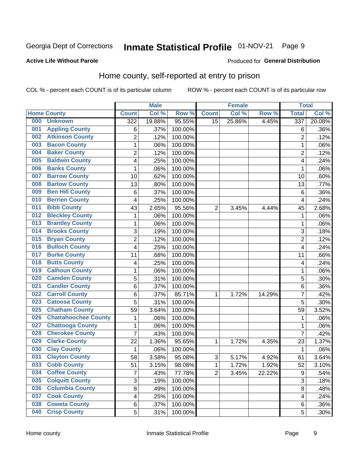#### Inmate Statistical Profile 01-NOV-21 Page 9

### **Active Life Without Parole**

## Produced for General Distribution

# Home county, self-reported at entry to prison

COL % - percent each COUNT is of its particular column

|     |                             |                         | <b>Male</b> |         |                | <b>Female</b> |        | <b>Total</b>   |        |
|-----|-----------------------------|-------------------------|-------------|---------|----------------|---------------|--------|----------------|--------|
|     | <b>Home County</b>          | <b>Count</b>            | Col %       | Row %   | <b>Count</b>   | Col %         | Row %  | <b>Total</b>   | Col %  |
| 000 | <b>Unknown</b>              | 322                     | 19.88%      | 95.55%  | 15             | 25.86%        | 4.45%  | 337            | 20.08% |
| 001 | <b>Appling County</b>       | 6                       | .37%        | 100.00% |                |               |        | 6              | .36%   |
| 002 | <b>Atkinson County</b>      | $\overline{\mathbf{c}}$ | .12%        | 100.00% |                |               |        | $\overline{2}$ | .12%   |
| 003 | <b>Bacon County</b>         | $\mathbf 1$             | .06%        | 100.00% |                |               |        | 1              | .06%   |
| 004 | <b>Baker County</b>         | $\overline{\mathbf{c}}$ | .12%        | 100.00% |                |               |        | $\overline{2}$ | .12%   |
| 005 | <b>Baldwin County</b>       | 4                       | .25%        | 100.00% |                |               |        | $\overline{4}$ | .24%   |
| 006 | <b>Banks County</b>         | $\mathbf 1$             | .06%        | 100.00% |                |               |        | 1              | .06%   |
| 007 | <b>Barrow County</b>        | 10                      | .62%        | 100.00% |                |               |        | 10             | .60%   |
| 008 | <b>Bartow County</b>        | 13                      | .80%        | 100.00% |                |               |        | 13             | .77%   |
| 009 | <b>Ben Hill County</b>      | 6                       | .37%        | 100.00% |                |               |        | 6              | .36%   |
| 010 | <b>Berrien County</b>       | 4                       | .25%        | 100.00% |                |               |        | 4              | .24%   |
| 011 | <b>Bibb County</b>          | 43                      | 2.65%       | 95.56%  | $\overline{2}$ | 3.45%         | 4.44%  | 45             | 2.68%  |
| 012 | <b>Bleckley County</b>      | $\mathbf 1$             | .06%        | 100.00% |                |               |        | 1              | .06%   |
| 013 | <b>Brantley County</b>      | $\mathbf 1$             | .06%        | 100.00% |                |               |        | 1              | .06%   |
| 014 | <b>Brooks County</b>        | 3                       | .19%        | 100.00% |                |               |        | 3              | .18%   |
| 015 | <b>Bryan County</b>         | $\overline{2}$          | .12%        | 100.00% |                |               |        | $\overline{2}$ | .12%   |
| 016 | <b>Bulloch County</b>       | 4                       | .25%        | 100.00% |                |               |        | 4              | .24%   |
| 017 | <b>Burke County</b>         | 11                      | .68%        | 100.00% |                |               |        | 11             | .66%   |
| 018 | <b>Butts County</b>         | 4                       | .25%        | 100.00% |                |               |        | 4              | .24%   |
| 019 | <b>Calhoun County</b>       | $\mathbf 1$             | .06%        | 100.00% |                |               |        | 1              | .06%   |
| 020 | <b>Camden County</b>        | 5                       | .31%        | 100.00% |                |               |        | 5              | .30%   |
| 021 | <b>Candler County</b>       | 6                       | .37%        | 100.00% |                |               |        | 6              | .36%   |
| 022 | <b>Carroll County</b>       | 6                       | .37%        | 85.71%  | 1              | 1.72%         | 14.29% | $\overline{7}$ | .42%   |
| 023 | <b>Catoosa County</b>       | 5                       | .31%        | 100.00% |                |               |        | 5              | .30%   |
| 025 | <b>Chatham County</b>       | 59                      | 3.64%       | 100.00% |                |               |        | 59             | 3.52%  |
| 026 | <b>Chattahoochee County</b> | $\mathbf 1$             | .06%        | 100.00% |                |               |        | 1              | .06%   |
| 027 | <b>Chattooga County</b>     | $\mathbf 1$             | .06%        | 100.00% |                |               |        | 1              | .06%   |
| 028 | <b>Cherokee County</b>      | $\overline{7}$          | .43%        | 100.00% |                |               |        | $\overline{7}$ | .42%   |
| 029 | <b>Clarke County</b>        | 22                      | 1.36%       | 95.65%  | 1              | 1.72%         | 4.35%  | 23             | 1.37%  |
| 030 | <b>Clay County</b>          | 1                       | .06%        | 100.00% |                |               |        | 1              | .06%   |
| 031 | <b>Clayton County</b>       | 58                      | 3.58%       | 95.08%  | 3              | 5.17%         | 4.92%  | 61             | 3.64%  |
| 033 | <b>Cobb County</b>          | 51                      | 3.15%       | 98.08%  | 1              | 1.72%         | 1.92%  | 52             | 3.10%  |
| 034 | <b>Coffee County</b>        | 7                       | .43%        | 77.78%  | $\overline{2}$ | 3.45%         | 22.22% | 9              | .54%   |
| 035 | <b>Colquitt County</b>      | 3                       | .19%        | 100.00% |                |               |        | $\mathsf 3$    | .18%   |
| 036 | <b>Columbia County</b>      | 8                       | .49%        | 100.00% |                |               |        | 8              | .48%   |
| 037 | <b>Cook County</b>          | 4                       | .25%        | 100.00% |                |               |        | 4              | .24%   |
| 038 | <b>Coweta County</b>        | 6                       | .37%        | 100.00% |                |               |        | 6              | .36%   |
| 040 | <b>Crisp County</b>         | 5                       | .31%        | 100.00% |                |               |        | 5              | .30%   |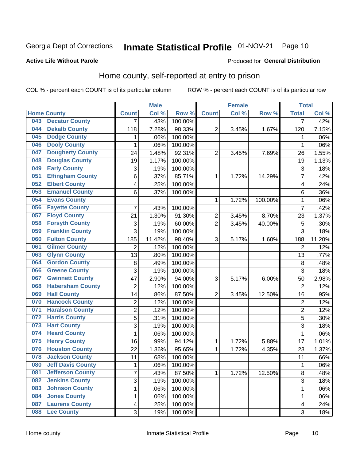# Inmate Statistical Profile 01-NOV-21 Page 10

### **Active Life Without Parole**

### Produced for General Distribution

# Home county, self-reported at entry to prison

COL % - percent each COUNT is of its particular column

|     |                          |                           | <b>Male</b> |                  |                  | <b>Female</b> |         | <b>Total</b>            |        |
|-----|--------------------------|---------------------------|-------------|------------------|------------------|---------------|---------|-------------------------|--------|
|     | <b>Home County</b>       | <b>Count</b>              | Col %       | Row <sup>%</sup> | <b>Count</b>     | Col %         | Row %   | <b>Total</b>            | Col %  |
| 043 | <b>Decatur County</b>    | 7                         | .43%        | 100.00%          |                  |               |         | 7                       | .42%   |
| 044 | <b>Dekalb County</b>     | 118                       | 7.28%       | 98.33%           | $\overline{2}$   | 3.45%         | 1.67%   | 120                     | 7.15%  |
| 045 | <b>Dodge County</b>      | 1                         | .06%        | 100.00%          |                  |               |         | 1                       | .06%   |
| 046 | <b>Dooly County</b>      | 1                         | .06%        | 100.00%          |                  |               |         | 1                       | .06%   |
| 047 | <b>Dougherty County</b>  | 24                        | 1.48%       | 92.31%           | $\overline{2}$   | 3.45%         | 7.69%   | 26                      | 1.55%  |
| 048 | <b>Douglas County</b>    | 19                        | 1.17%       | 100.00%          |                  |               |         | 19                      | 1.13%  |
| 049 | <b>Early County</b>      | 3                         | .19%        | 100.00%          |                  |               |         | 3                       | .18%   |
| 051 | <b>Effingham County</b>  | 6                         | .37%        | 85.71%           | 1                | 1.72%         | 14.29%  | 7                       | .42%   |
| 052 | <b>Elbert County</b>     | 4                         | .25%        | 100.00%          |                  |               |         | $\overline{\mathbf{4}}$ | .24%   |
| 053 | <b>Emanuel County</b>    | 6                         | .37%        | 100.00%          |                  |               |         | 6                       | .36%   |
| 054 | <b>Evans County</b>      |                           |             |                  | 1                | 1.72%         | 100.00% | 1                       | .06%   |
| 056 | <b>Fayette County</b>    | 7                         | .43%        | 100.00%          |                  |               |         | $\overline{7}$          | .42%   |
| 057 | <b>Floyd County</b>      | 21                        | 1.30%       | 91.30%           | $\boldsymbol{2}$ | 3.45%         | 8.70%   | 23                      | 1.37%  |
| 058 | <b>Forsyth County</b>    | $\ensuremath{\mathsf{3}}$ | .19%        | 60.00%           | 2                | 3.45%         | 40.00%  | 5                       | .30%   |
| 059 | <b>Franklin County</b>   | 3                         | .19%        | 100.00%          |                  |               |         | 3                       | .18%   |
| 060 | <b>Fulton County</b>     | 185                       | 11.42%      | 98.40%           | 3                | 5.17%         | 1.60%   | 188                     | 11.20% |
| 061 | <b>Gilmer County</b>     | $\overline{2}$            | .12%        | 100.00%          |                  |               |         | $\overline{2}$          | .12%   |
| 063 | <b>Glynn County</b>      | 13                        | .80%        | 100.00%          |                  |               |         | 13                      | .77%   |
| 064 | <b>Gordon County</b>     | 8                         | .49%        | 100.00%          |                  |               |         | 8                       | .48%   |
| 066 | <b>Greene County</b>     | 3                         | .19%        | 100.00%          |                  |               |         | 3                       | .18%   |
| 067 | <b>Gwinnett County</b>   | 47                        | 2.90%       | 94.00%           | 3                | 5.17%         | 6.00%   | 50                      | 2.98%  |
| 068 | <b>Habersham County</b>  | $\overline{2}$            | .12%        | 100.00%          |                  |               |         | $\overline{2}$          | .12%   |
| 069 | <b>Hall County</b>       | 14                        | .86%        | 87.50%           | $\overline{2}$   | 3.45%         | 12.50%  | 16                      | .95%   |
| 070 | <b>Hancock County</b>    | 2                         | .12%        | 100.00%          |                  |               |         | $\overline{2}$          | .12%   |
| 071 | <b>Haralson County</b>   | $\overline{c}$            | .12%        | 100.00%          |                  |               |         | $\overline{2}$          | .12%   |
| 072 | <b>Harris County</b>     | 5                         | .31%        | 100.00%          |                  |               |         | 5                       | .30%   |
| 073 | <b>Hart County</b>       | 3                         | .19%        | 100.00%          |                  |               |         | 3                       | .18%   |
| 074 | <b>Heard County</b>      | 1                         | .06%        | 100.00%          |                  |               |         | 1                       | .06%   |
| 075 | <b>Henry County</b>      | 16                        | .99%        | 94.12%           | 1                | 1.72%         | 5.88%   | 17                      | 1.01%  |
| 076 | <b>Houston County</b>    | 22                        | 1.36%       | 95.65%           | 1                | 1.72%         | 4.35%   | 23                      | 1.37%  |
| 078 | <b>Jackson County</b>    | 11                        | .68%        | 100.00%          |                  |               |         | 11                      | .66%   |
| 080 | <b>Jeff Davis County</b> | $\mathbf 1$               | .06%        | 100.00%          |                  |               |         | 1                       | .06%   |
| 081 | <b>Jefferson County</b>  | $\overline{7}$            | .43%        | 87.50%           | 1                | 1.72%         | 12.50%  | 8                       | .48%   |
| 082 | <b>Jenkins County</b>    | 3                         | .19%        | 100.00%          |                  |               |         | 3                       | .18%   |
| 083 | <b>Johnson County</b>    | $\mathbf{1}$              | .06%        | 100.00%          |                  |               |         | 1                       | .06%   |
| 084 | <b>Jones County</b>      | 1                         | .06%        | 100.00%          |                  |               |         | 1                       | .06%   |
| 087 | <b>Laurens County</b>    | 4                         | .25%        | 100.00%          |                  |               |         | 4                       | .24%   |
| 088 | <b>Lee County</b>        | 3                         | .19%        | 100.00%          |                  |               |         | 3                       | .18%   |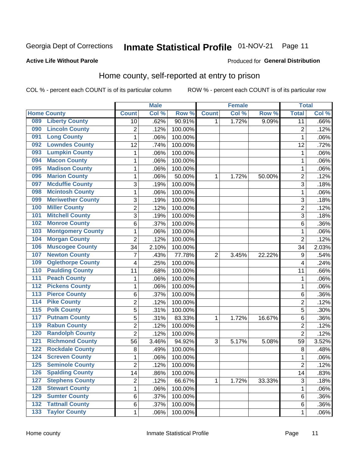# Inmate Statistical Profile 01-NOV-21 Page 11

### **Active Life Without Parole**

## Produced for General Distribution

# Home county, self-reported at entry to prison

COL % - percent each COUNT is of its particular column

|                  |                          |                | <b>Male</b> |         |                | <b>Female</b> |        | <b>Total</b>   |       |
|------------------|--------------------------|----------------|-------------|---------|----------------|---------------|--------|----------------|-------|
|                  | <b>Home County</b>       | <b>Count</b>   | Col %       | Row %   | <b>Count</b>   | Col %         | Row %  | <b>Total</b>   | Col % |
| 089              | <b>Liberty County</b>    | 10             | .62%        | 90.91%  | 1              | 1.72%         | 9.09%  | 11             | .66%  |
| 090              | <b>Lincoln County</b>    | $\overline{2}$ | .12%        | 100.00% |                |               |        | $\overline{2}$ | .12%  |
| 091              | <b>Long County</b>       | $\mathbf 1$    | .06%        | 100.00% |                |               |        | 1              | .06%  |
| 092              | <b>Lowndes County</b>    | 12             | .74%        | 100.00% |                |               |        | 12             | .72%  |
| 093              | <b>Lumpkin County</b>    | 1              | .06%        | 100.00% |                |               |        | 1              | .06%  |
| 094              | <b>Macon County</b>      | $\mathbf 1$    | .06%        | 100.00% |                |               |        | 1              | .06%  |
| 095              | <b>Madison County</b>    | 1              | .06%        | 100.00% |                |               |        | 1              | .06%  |
| 096              | <b>Marion County</b>     | 1              | .06%        | 50.00%  | 1              | 1.72%         | 50.00% | $\overline{2}$ | .12%  |
| 097              | <b>Mcduffie County</b>   | 3              | .19%        | 100.00% |                |               |        | 3              | .18%  |
| 098              | <b>Mcintosh County</b>   | $\mathbf 1$    | .06%        | 100.00% |                |               |        | 1              | .06%  |
| 099              | <b>Meriwether County</b> | 3              | .19%        | 100.00% |                |               |        | 3              | .18%  |
| 100              | <b>Miller County</b>     | $\overline{c}$ | .12%        | 100.00% |                |               |        | $\overline{2}$ | .12%  |
| 101              | <b>Mitchell County</b>   | 3              | .19%        | 100.00% |                |               |        | 3              | .18%  |
| 102              | <b>Monroe County</b>     | 6              | .37%        | 100.00% |                |               |        | 6              | .36%  |
| 103              | <b>Montgomery County</b> | 1              | .06%        | 100.00% |                |               |        | 1              | .06%  |
| 104              | <b>Morgan County</b>     | $\overline{2}$ | .12%        | 100.00% |                |               |        | $\overline{2}$ | .12%  |
| 106              | <b>Muscogee County</b>   | 34             | 2.10%       | 100.00% |                |               |        | 34             | 2.03% |
| 107              | <b>Newton County</b>     | 7              | .43%        | 77.78%  | $\overline{2}$ | 3.45%         | 22.22% | 9              | .54%  |
| 109              | <b>Oglethorpe County</b> | 4              | .25%        | 100.00% |                |               |        | 4              | .24%  |
| 110              | <b>Paulding County</b>   | 11             | .68%        | 100.00% |                |               |        | 11             | .66%  |
| 111              | <b>Peach County</b>      | 1              | .06%        | 100.00% |                |               |        | 1              | .06%  |
| $\overline{112}$ | <b>Pickens County</b>    | $\mathbf 1$    | .06%        | 100.00% |                |               |        | 1              | .06%  |
| 113              | <b>Pierce County</b>     | 6              | .37%        | 100.00% |                |               |        | 6              | .36%  |
| 114              | <b>Pike County</b>       | $\overline{2}$ | .12%        | 100.00% |                |               |        | $\overline{2}$ | .12%  |
| $\overline{115}$ | <b>Polk County</b>       | 5              | .31%        | 100.00% |                |               |        | 5              | .30%  |
| 117              | <b>Putnam County</b>     | 5              | .31%        | 83.33%  | 1              | 1.72%         | 16.67% | 6              | .36%  |
| 119              | <b>Rabun County</b>      | $\overline{2}$ | .12%        | 100.00% |                |               |        | $\overline{2}$ | .12%  |
| 120              | <b>Randolph County</b>   | $\overline{2}$ | .12%        | 100.00% |                |               |        | $\overline{2}$ | .12%  |
| $121$            | <b>Richmond County</b>   | 56             | 3.46%       | 94.92%  | 3              | 5.17%         | 5.08%  | 59             | 3.52% |
| 122              | <b>Rockdale County</b>   | 8              | .49%        | 100.00% |                |               |        | 8              | .48%  |
| 124              | <b>Screven County</b>    | 1              | .06%        | 100.00% |                |               |        | 1              | .06%  |
| 125              | <b>Seminole County</b>   | 2              | .12%        | 100.00% |                |               |        | $\overline{c}$ | .12%  |
| 126              | <b>Spalding County</b>   | 14             | .86%        | 100.00% |                |               |        | 14             | .83%  |
| 127              | <b>Stephens County</b>   | $\overline{2}$ | .12%        | 66.67%  | 1              | 1.72%         | 33.33% | $\mathsf 3$    | .18%  |
| 128              | <b>Stewart County</b>    | $\mathbf 1$    | .06%        | 100.00% |                |               |        | 1              | .06%  |
| 129              | <b>Sumter County</b>     | 6              | .37%        | 100.00% |                |               |        | 6              | .36%  |
| 132              | <b>Tattnall County</b>   | 6              | .37%        | 100.00% |                |               |        | 6              | .36%  |
| $\overline{133}$ | <b>Taylor County</b>     | $\mathbf{1}$   | .06%        | 100.00% |                |               |        | 1              | .06%  |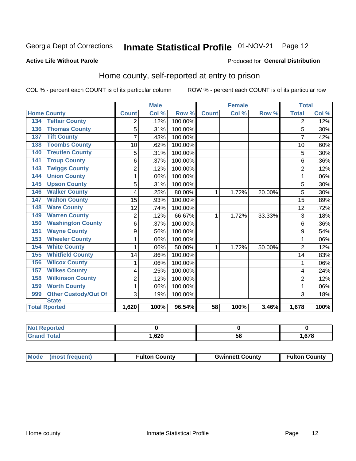# Inmate Statistical Profile 01-NOV-21 Page 12

### **Active Life Without Parole**

### Produced for General Distribution

# Home county, self-reported at entry to prison

COL % - percent each COUNT is of its particular column

|                                    |                | <b>Male</b> |         | <b>Female</b> |       | <b>Total</b> |                |       |
|------------------------------------|----------------|-------------|---------|---------------|-------|--------------|----------------|-------|
| <b>Home County</b>                 | <b>Count</b>   | Col %       | Row %   | <b>Count</b>  | Col % | Row %        | <b>Total</b>   | Col % |
| <b>Telfair County</b><br>134       | 2              | .12%        | 100.00% |               |       |              | 2              | .12%  |
| <b>Thomas County</b><br>136        | 5              | .31%        | 100.00% |               |       |              | 5              | .30%  |
| <b>Tift County</b><br>137          | 7              | .43%        | 100.00% |               |       |              | 7              | .42%  |
| <b>Toombs County</b><br>138        | 10             | .62%        | 100.00% |               |       |              | 10             | .60%  |
| <b>Treutlen County</b><br>140      | 5              | .31%        | 100.00% |               |       |              | 5              | .30%  |
| <b>Troup County</b><br>141         | 6              | .37%        | 100.00% |               |       |              | 6              | .36%  |
| <b>Twiggs County</b><br>143        | $\overline{c}$ | .12%        | 100.00% |               |       |              | $\overline{2}$ | .12%  |
| <b>Union County</b><br>144         | 1              | .06%        | 100.00% |               |       |              |                | .06%  |
| <b>Upson County</b><br>145         | 5              | .31%        | 100.00% |               |       |              | 5              | .30%  |
| <b>Walker County</b><br>146        | 4              | .25%        | 80.00%  | 1             | 1.72% | 20.00%       | 5              | .30%  |
| <b>Walton County</b><br>147        | 15             | .93%        | 100.00% |               |       |              | 15             | .89%  |
| <b>Ware County</b><br>148          | 12             | .74%        | 100.00% |               |       |              | 12             | .72%  |
| <b>Warren County</b><br>149        | $\overline{2}$ | .12%        | 66.67%  | 1             | 1.72% | 33.33%       | 3              | .18%  |
| <b>Washington County</b><br>150    | 6              | .37%        | 100.00% |               |       |              | 6              | .36%  |
| <b>Wayne County</b><br>151         | 9              | .56%        | 100.00% |               |       |              | 9              | .54%  |
| <b>Wheeler County</b><br>153       | 1              | .06%        | 100.00% |               |       |              |                | .06%  |
| <b>White County</b><br>154         | 1              | .06%        | 50.00%  | 1             | 1.72% | 50.00%       | $\overline{2}$ | .12%  |
| <b>Whitfield County</b><br>155     | 14             | .86%        | 100.00% |               |       |              | 14             | .83%  |
| <b>Wilcox County</b><br>156        | 1              | .06%        | 100.00% |               |       |              |                | .06%  |
| <b>Wilkes County</b><br>157        | 4              | .25%        | 100.00% |               |       |              | 4              | .24%  |
| <b>Wilkinson County</b><br>158     | $\overline{2}$ | .12%        | 100.00% |               |       |              | $\overline{2}$ | .12%  |
| <b>Worth County</b><br>159         | 1              | .06%        | 100.00% |               |       |              | 1              | .06%  |
| <b>Other Custody/Out Of</b><br>999 | 3              | .19%        | 100.00% |               |       |              | 3              | .18%  |
| <b>State</b>                       |                |             |         |               |       |              |                |       |
| <b>Total Rported</b>               | 1,620          | 100%        | 96.54%  | 58            | 100%  | 3.46%        | 1,678          | 100%  |

| <b>Not Reported</b> |      |    |     |
|---------------------|------|----|-----|
| `otal               | ,620 | ວດ | 678 |

| Mode (most frequent) | <b>Fulton County</b> | <b>Gwinnett County</b> | <b>Fulton County</b> |
|----------------------|----------------------|------------------------|----------------------|
|----------------------|----------------------|------------------------|----------------------|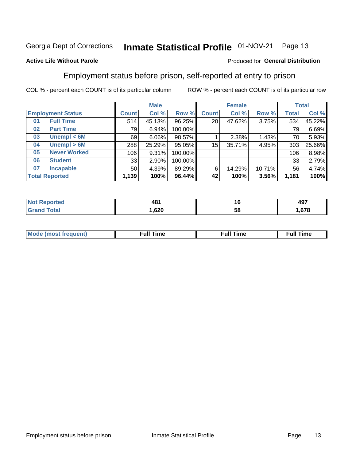#### Inmate Statistical Profile 01-NOV-21 Page 13

### **Active Life Without Parole**

### Produced for General Distribution

# Employment status before prison, self-reported at entry to prison

COL % - percent each COUNT is of its particular column

|                           |                 | <b>Male</b> |         |                 | <b>Female</b> |        |              | <b>Total</b> |
|---------------------------|-----------------|-------------|---------|-----------------|---------------|--------|--------------|--------------|
| <b>Employment Status</b>  | <b>Count</b>    | Col %       | Row %   | <b>Count</b>    | Col %         | Row %  | <b>Total</b> | Col %        |
| <b>Full Time</b><br>01    | 514             | 45.13%      | 96.25%  | 20 <sub>1</sub> | 47.62%        | 3.75%  | 534          | 45.22%       |
| <b>Part Time</b><br>02    | 79              | 6.94%       | 100.00% |                 |               |        | 79           | 6.69%        |
| Unempl $<$ 6M<br>03       | 69              | $6.06\%$    | 98.57%  |                 | 2.38%         | 1.43%  | 70           | 5.93%        |
| Unempl > 6M<br>04         | 288             | 25.29%      | 95.05%  | $15\,$          | 35.71%        | 4.95%  | 303          | 25.66%       |
| <b>Never Worked</b><br>05 | 106             | 9.31%       | 100.00% |                 |               |        | 106          | 8.98%        |
| <b>Student</b><br>06      | 33              | 2.90%       | 100.00% |                 |               |        | 33           | 2.79%        |
| <b>Incapable</b><br>07    | 50 <sub>1</sub> | 4.39%       | 89.29%  | 6               | 14.29%        | 10.71% | 56           | 4.74%        |
| <b>Total Reported</b>     | 1,139           | 100%        | 96.44%  | 42              | 100%          | 3.56%  | 1,181        | 100%         |

| ۱Ω۰<br>−™<br>___ | ıc<br>__ | 107<br>491      |
|------------------|----------|-----------------|
| ,620             | ວເ       | $- - -$<br>.010 |

| Mc | ∴ull | ----<br>ıme<br>w |
|----|------|------------------|
|    |      |                  |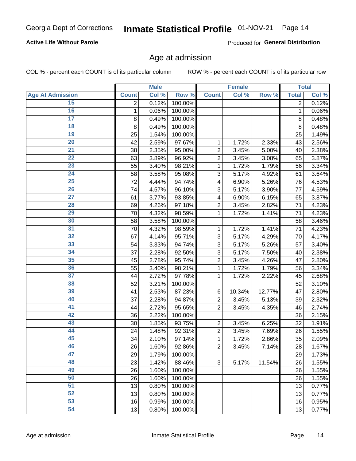## **Active Life Without Parole**

Produced for General Distribution

# Age at admission

COL % - percent each COUNT is of its particular column

|                         |                | <b>Male</b> |         |                         | <b>Female</b> |        |                | <b>Total</b> |
|-------------------------|----------------|-------------|---------|-------------------------|---------------|--------|----------------|--------------|
| <b>Age At Admission</b> | <b>Count</b>   | Col %       | Row %   | <b>Count</b>            | Col %         | Row %  | <b>Total</b>   | Col %        |
| 15                      | $\overline{2}$ | 0.12%       | 100.00% |                         |               |        | $\overline{2}$ | 0.12%        |
| 16                      | 1              | 0.06%       | 100.00% |                         |               |        | $\mathbf{1}$   | 0.06%        |
| $\overline{17}$         | 8              | 0.49%       | 100.00% |                         |               |        | 8              | 0.48%        |
| 18                      | 8              | 0.49%       | 100.00% |                         |               |        | 8              | 0.48%        |
| 19                      | 25             | 1.54%       | 100.00% |                         |               |        | 25             | 1.49%        |
| $\overline{20}$         | 42             | 2.59%       | 97.67%  | 1                       | 1.72%         | 2.33%  | 43             | 2.56%        |
| 21                      | 38             | 2.35%       | 95.00%  | $\overline{2}$          | 3.45%         | 5.00%  | 40             | 2.38%        |
| 22                      | 63             | 3.89%       | 96.92%  | $\overline{c}$          | 3.45%         | 3.08%  | 65             | 3.87%        |
| 23                      | 55             | 3.40%       | 98.21%  | 1                       | 1.72%         | 1.79%  | 56             | 3.34%        |
| 24                      | 58             | 3.58%       | 95.08%  | 3                       | 5.17%         | 4.92%  | 61             | 3.64%        |
| $\overline{25}$         | 72             | 4.44%       | 94.74%  | $\overline{\mathbf{4}}$ | 6.90%         | 5.26%  | 76             | 4.53%        |
| 26                      | 74             | 4.57%       | 96.10%  | 3                       | 5.17%         | 3.90%  | 77             | 4.59%        |
| $\overline{27}$         | 61             | 3.77%       | 93.85%  | 4                       | 6.90%         | 6.15%  | 65             | 3.87%        |
| 28                      | 69             | 4.26%       | 97.18%  | $\overline{2}$          | 3.45%         | 2.82%  | 71             | 4.23%        |
| 29                      | 70             | 4.32%       | 98.59%  | 1                       | 1.72%         | 1.41%  | 71             | 4.23%        |
| 30                      | 58             | 3.58%       | 100.00% |                         |               |        | 58             | 3.46%        |
| 31                      | 70             | 4.32%       | 98.59%  | 1                       | 1.72%         | 1.41%  | 71             | 4.23%        |
| 32                      | 67             | 4.14%       | 95.71%  | 3                       | 5.17%         | 4.29%  | 70             | 4.17%        |
| 33                      | 54             | 3.33%       | 94.74%  | 3                       | 5.17%         | 5.26%  | 57             | 3.40%        |
| 34                      | 37             | 2.28%       | 92.50%  | 3                       | 5.17%         | 7.50%  | 40             | 2.38%        |
| 35                      | 45             | 2.78%       | 95.74%  | $\overline{2}$          | 3.45%         | 4.26%  | 47             | 2.80%        |
| 36                      | 55             | 3.40%       | 98.21%  | 1                       | 1.72%         | 1.79%  | 56             | 3.34%        |
| $\overline{37}$         | 44             | 2.72%       | 97.78%  | 1                       | 1.72%         | 2.22%  | 45             | 2.68%        |
| 38                      | 52             | 3.21%       | 100.00% |                         |               |        | 52             | 3.10%        |
| 39                      | 41             | 2.53%       | 87.23%  | 6                       | 10.34%        | 12.77% | 47             | 2.80%        |
| 40                      | 37             | 2.28%       | 94.87%  | $\overline{c}$          | 3.45%         | 5.13%  | 39             | 2.32%        |
| 41                      | 44             | 2.72%       | 95.65%  | $\overline{2}$          | 3.45%         | 4.35%  | 46             | 2.74%        |
| 42                      | 36             | 2.22%       | 100.00% |                         |               |        | 36             | 2.15%        |
| 43                      | 30             | 1.85%       | 93.75%  | $\overline{2}$          | 3.45%         | 6.25%  | 32             | 1.91%        |
| 44                      | 24             | 1.48%       | 92.31%  | $\overline{c}$          | 3.45%         | 7.69%  | 26             | 1.55%        |
| 45                      | 34             | 2.10%       | 97.14%  | 1                       | 1.72%         | 2.86%  | 35             | 2.09%        |
| 46                      | 26             | 1.60%       | 92.86%  | $\mathbf 2$             | 3.45%         | 7.14%  | 28             | 1.67%        |
| 47                      | 29             | 1.79%       | 100.00% |                         |               |        | 29             | 1.73%        |
| 48                      | 23             | 1.42%       | 88.46%  | 3                       | 5.17%         | 11.54% | 26             | 1.55%        |
| 49                      | 26             | 1.60%       | 100.00% |                         |               |        | 26             | 1.55%        |
| 50                      | 26             | 1.60%       | 100.00% |                         |               |        | 26             | 1.55%        |
| $\overline{51}$         | 13             | 0.80%       | 100.00% |                         |               |        | 13             | 0.77%        |
| 52                      | 13             | 0.80%       | 100.00% |                         |               |        | 13             | 0.77%        |
| 53                      | 16             | 0.99%       | 100.00% |                         |               |        | 16             | 0.95%        |
| 54                      | 13             | 0.80%       | 100.00% |                         |               |        | 13             | 0.77%        |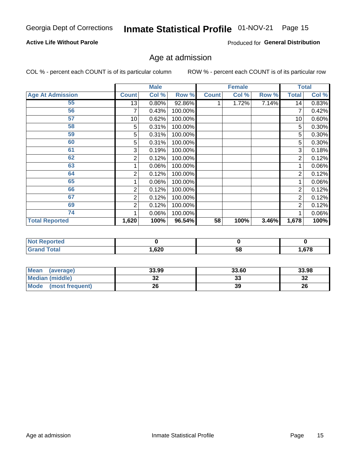## **Active Life Without Parole**

Produced for General Distribution

# Age at admission

COL % - percent each COUNT is of its particular column

|                         |              | <b>Male</b> |         |              | <b>Female</b> |       |                | <b>Total</b> |
|-------------------------|--------------|-------------|---------|--------------|---------------|-------|----------------|--------------|
| <b>Age At Admission</b> | <b>Count</b> | Col %       | Row %   | <b>Count</b> | Col %         | Row % | <b>Total</b>   | Col %        |
| 55                      | 13           | 0.80%       | 92.86%  |              | 1.72%         | 7.14% | 14             | 0.83%        |
| 56                      | 7            | 0.43%       | 100.00% |              |               |       | 7              | 0.42%        |
| 57                      | 10           | 0.62%       | 100.00% |              |               |       | 10             | 0.60%        |
| 58                      | 5            | 0.31%       | 100.00% |              |               |       | 5              | 0.30%        |
| 59                      | 5            | 0.31%       | 100.00% |              |               |       | 5              | $0.30\%$     |
| 60                      | 5            | 0.31%       | 100.00% |              |               |       | 5              | 0.30%        |
| 61                      | 3            | 0.19%       | 100.00% |              |               |       | 3              | 0.18%        |
| 62                      | 2            | 0.12%       | 100.00% |              |               |       | 2              | 0.12%        |
| 63                      |              | 0.06%       | 100.00% |              |               |       |                | 0.06%        |
| 64                      | 2            | 0.12%       | 100.00% |              |               |       | $\overline{2}$ | 0.12%        |
| 65                      |              | 0.06%       | 100.00% |              |               |       |                | 0.06%        |
| 66                      | 2            | 0.12%       | 100.00% |              |               |       | $\overline{2}$ | 0.12%        |
| 67                      | 2            | 0.12%       | 100.00% |              |               |       | 2              | 0.12%        |
| 69                      | 2            | 0.12%       | 100.00% |              |               |       | $\overline{2}$ | 0.12%        |
| 74                      |              | 0.06%       | 100.00% |              |               |       |                | 0.06%        |
| <b>Total Reported</b>   | 1,620        | 100%        | 96.54%  | 58           | 100%          | 3.46% | 1,678          | 100%         |

| <b>Not Reported</b> |      |    |       |
|---------------------|------|----|-------|
| <b>Total</b>        | ,620 | Эō | 1,678 |

| <b>Mean</b><br>(average) | 33.99    | 33.60    | 33.98    |
|--------------------------|----------|----------|----------|
| <b>Median (middle)</b>   | ^^<br>JZ | າາ<br>აა | ົ<br>-52 |
| Mode<br>(most frequent)  | 26       | 39       | 26       |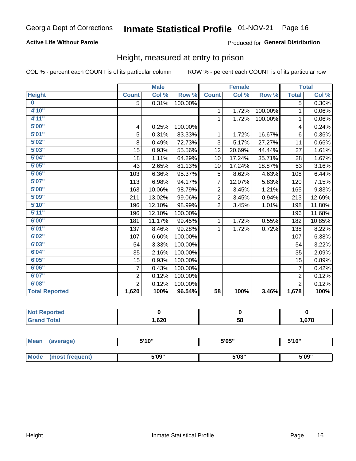## **Active Life Without Parole**

### Produced for General Distribution

# Height, measured at entry to prison

COL % - percent each COUNT is of its particular column

|                       |                | <b>Male</b> |         |                 | <b>Female</b> |         |                | <b>Total</b> |
|-----------------------|----------------|-------------|---------|-----------------|---------------|---------|----------------|--------------|
| <b>Height</b>         | <b>Count</b>   | Col %       | Row %   | <b>Count</b>    | Col %         | Row %   | <b>Total</b>   | Col %        |
| $\bf{0}$              | 5              | 0.31%       | 100.00% |                 |               |         | 5              | 0.30%        |
| 4'10"                 |                |             |         | 1               | 1.72%         | 100.00% | $\mathbf{1}$   | 0.06%        |
| 4'11''                |                |             |         | 1               | 1.72%         | 100.00% | 1              | 0.06%        |
| 5'00''                | 4              | 0.25%       | 100.00% |                 |               |         | 4              | 0.24%        |
| 5'01"                 | 5              | 0.31%       | 83.33%  | 1               | 1.72%         | 16.67%  | 6              | $0.36\%$     |
| 5'02"                 | 8              | 0.49%       | 72.73%  | 3               | 5.17%         | 27.27%  | 11             | 0.66%        |
| 5'03''                | 15             | 0.93%       | 55.56%  | 12              | 20.69%        | 44.44%  | 27             | 1.61%        |
| 5'04"                 | 18             | 1.11%       | 64.29%  | 10              | 17.24%        | 35.71%  | 28             | 1.67%        |
| 5'05"                 | 43             | 2.65%       | 81.13%  | 10              | 17.24%        | 18.87%  | 53             | 3.16%        |
| 5'06''                | 103            | 6.36%       | 95.37%  | 5               | 8.62%         | 4.63%   | 108            | 6.44%        |
| 5'07''                | 113            | 6.98%       | 94.17%  | $\overline{7}$  | 12.07%        | 5.83%   | 120            | 7.15%        |
| 5'08''                | 163            | 10.06%      | 98.79%  | 2               | 3.45%         | 1.21%   | 165            | 9.83%        |
| 5'09''                | 211            | 13.02%      | 99.06%  | $\overline{2}$  | 3.45%         | 0.94%   | 213            | 12.69%       |
| 5'10''                | 196            | 12.10%      | 98.99%  | $\overline{2}$  | 3.45%         | 1.01%   | 198            | 11.80%       |
| 5'11''                | 196            | 12.10%      | 100.00% |                 |               |         | 196            | 11.68%       |
| 6'00''                | 181            | 11.17%      | 99.45%  | 1               | 1.72%         | 0.55%   | 182            | 10.85%       |
| 6'01''                | 137            | 8.46%       | 99.28%  | 1               | 1.72%         | 0.72%   | 138            | 8.22%        |
| 6'02"                 | 107            | 6.60%       | 100.00% |                 |               |         | 107            | 6.38%        |
| 6'03''                | 54             | 3.33%       | 100.00% |                 |               |         | 54             | 3.22%        |
| 6'04"                 | 35             | 2.16%       | 100.00% |                 |               |         | 35             | 2.09%        |
| 6'05"                 | 15             | 0.93%       | 100.00% |                 |               |         | 15             | 0.89%        |
| 6'06''                | 7              | 0.43%       | 100.00% |                 |               |         | $\overline{7}$ | 0.42%        |
| 6'07''                | $\overline{2}$ | 0.12%       | 100.00% |                 |               |         | $\overline{2}$ | 0.12%        |
| 6'08''                | $\overline{2}$ | 0.12%       | 100.00% |                 |               |         | $\overline{2}$ | 0.12%        |
| <b>Total Reported</b> | 1,620          | 100%        | 96.54%  | $\overline{58}$ | 100%          | 3.46%   | 1,678          | 100%         |

| <b>NOT</b><br>rtea<br>a an estatun m<br>$\sim$ |      |    |     |
|------------------------------------------------|------|----|-----|
| $int^{\bullet}$                                | ,620 | 58 | 678 |

| <b>Mean</b> | (average)       | 5'10" | 5'05" | 5'10"<br>ັ |  |
|-------------|-----------------|-------|-------|------------|--|
|             |                 |       |       |            |  |
| Mode        | (most frequent) | 5'09" | 5'03" | 5'09"      |  |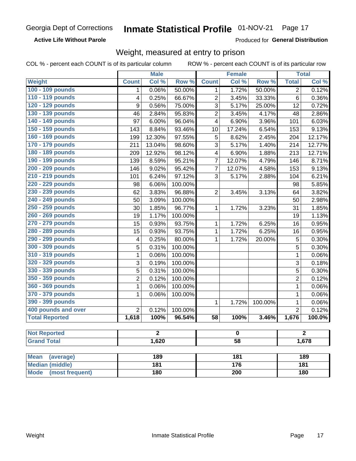### **Active Life Without Parole**

Produced for General Distribution

# Weight, measured at entry to prison

COL % - percent each COUNT is of its particular column

|                                |                  | <b>Male</b> |                  |                         | <b>Female</b>       |         |                | <b>Total</b> |  |
|--------------------------------|------------------|-------------|------------------|-------------------------|---------------------|---------|----------------|--------------|--|
| <b>Weight</b>                  | <b>Count</b>     | Col %       | Row <sup>%</sup> | <b>Count</b>            | Col %               | Row %   | <b>Total</b>   | Col %        |  |
| 100 - 109 pounds               | 1                | 0.06%       | 50.00%           | 1                       | 1.72%               | 50.00%  | $\overline{2}$ | 0.12%        |  |
| 110 - 119 pounds               | 4                | 0.25%       | 66.67%           | $\overline{c}$          | 3.45%               | 33.33%  | 6              | 0.36%        |  |
| 120 - 129 pounds               | $\boldsymbol{9}$ | 0.56%       | 75.00%           | 3                       | 5.17%               | 25.00%  | 12             | 0.72%        |  |
| 130 - 139 pounds               | 46               | 2.84%       | 95.83%           | $\overline{c}$          | 3.45%               | 4.17%   | 48             | 2.86%        |  |
| 140 - 149 pounds               | 97               | 6.00%       | 96.04%           | 4                       | 6.90%               | 3.96%   | 101            | 6.03%        |  |
| 150 - 159 pounds               | 143              | 8.84%       | 93.46%           | 10                      | 17.24%              | 6.54%   | 153            | 9.13%        |  |
| 160 - 169 pounds               | 199              | 12.30%      | 97.55%           | 5                       | 8.62%               | 2.45%   | 204            | 12.17%       |  |
| 170 - 179 pounds               | 211              | 13.04%      | 98.60%           | 3                       | 5.17%               | 1.40%   | 214            | 12.77%       |  |
| 180 - 189 pounds               | 209              | 12.92%      | 98.12%           | $\overline{\mathbf{4}}$ | 6.90%               | 1.88%   | 213            | 12.71%       |  |
| 190 - 199 pounds               | 139              | 8.59%       | 95.21%           | 7                       | 12.07%              | 4.79%   | 146            | 8.71%        |  |
| 200 - 209 pounds               | 146              | 9.02%       | 95.42%           | $\overline{7}$          | 12.07%              | 4.58%   | 153            | 9.13%        |  |
| 210 - 219 pounds               | 101              | 6.24%       | 97.12%           | 3                       | 5.17%               | 2.88%   | 104            | 6.21%        |  |
| 220 - 229 pounds               | 98               | 6.06%       | 100.00%          |                         |                     |         | 98             | 5.85%        |  |
| 230 - 239 pounds               | 62               | 3.83%       | 96.88%           | $\overline{2}$          | 3.45%               | 3.13%   | 64             | 3.82%        |  |
| 240 - 249 pounds               | 50               | 3.09%       | 100.00%          |                         |                     |         | 50             | 2.98%        |  |
| 250 - 259 pounds               | 30               | 1.85%       | 96.77%           | 1                       | $\overline{1.72\%}$ | 3.23%   | 31             | 1.85%        |  |
| 260 - 269 pounds               | 19               | 1.17%       | 100.00%          |                         |                     |         | 19             | 1.13%        |  |
| 270 - 279 pounds               | 15               | 0.93%       | 93.75%           | 1                       | 1.72%               | 6.25%   | 16             | 0.95%        |  |
| 280 - 289 pounds               | 15               | 0.93%       | 93.75%           | $\mathbf{1}$            | 1.72%               | 6.25%   | 16             | 0.95%        |  |
| 290 - 299 pounds               | 4                | 0.25%       | 80.00%           | 1                       | 1.72%               | 20.00%  | 5              | 0.30%        |  |
| 300 - 309 pounds               | 5                | 0.31%       | 100.00%          |                         |                     |         | 5              | 0.30%        |  |
| 310 - 319 pounds               | $\mathbf 1$      | 0.06%       | 100.00%          |                         |                     |         | $\mathbf{1}$   | 0.06%        |  |
| 320 - 329 pounds               | 3                | 0.19%       | 100.00%          |                         |                     |         | 3              | 0.18%        |  |
| 330 - 339 pounds               | 5                | 0.31%       | 100.00%          |                         |                     |         | 5              | 0.30%        |  |
| 350 - 359 pounds               | $\overline{2}$   | 0.12%       | 100.00%          |                         |                     |         | $\overline{2}$ | 0.12%        |  |
| 360 - 369 pounds               | 1                | 0.06%       | 100.00%          |                         |                     |         | $\mathbf{1}$   | 0.06%        |  |
| 370 - 379 pounds               | 1                | 0.06%       | 100.00%          |                         |                     |         | $\mathbf 1$    | 0.06%        |  |
| 390 - 399 pounds               |                  |             |                  | 1                       | 1.72%               | 100.00% | 1              | 0.06%        |  |
| 400 pounds and over            | $\overline{2}$   | 0.12%       | 100.00%          |                         |                     |         | $\overline{2}$ | 0.12%        |  |
| <b>Total Reported</b>          | 1,618            | 100%        | 96.54%           | $\overline{58}$         | 100%                | 3.46%   | 1,676          | 100.0%       |  |
|                                |                  |             |                  |                         |                     |         |                |              |  |
| <b>Not Reported</b>            |                  | 2           |                  |                         | 0                   |         |                | 2            |  |
| <b>Grand Total</b>             |                  | 1,620       |                  | $\overline{58}$         |                     |         | 1,678          |              |  |
|                                |                  |             |                  |                         |                     |         |                |              |  |
| <b>Mean</b><br>(average)       |                  | 189         |                  |                         | 181                 |         |                | 189          |  |
| <b>Median (middle)</b>         |                  | 181         |                  |                         | 176                 |         |                | 181          |  |
| <b>Mode</b><br>(most frequent) |                  | 180         |                  |                         | $\overline{200}$    |         | 180            |              |  |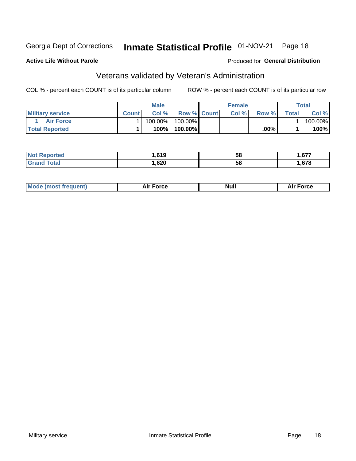# Inmate Statistical Profile 01-NOV-21 Page 18

## **Active Life Without Parole**

## Produced for General Distribution

# Veterans validated by Veteran's Administration

COL % - percent each COUNT is of its particular column

|                         |              | <b>Male</b> |                    | <b>Female</b> |       |             | Total   |
|-------------------------|--------------|-------------|--------------------|---------------|-------|-------------|---------|
| <b>Military service</b> | <b>Count</b> | Col%        | <b>Row % Count</b> | Col %         | Row % | $\tau$ otal | Col %   |
| <b>Air Force</b>        |              | 100.00%     | 100.00%            |               |       |             | 100.00% |
| <b>Total Reported</b>   |              | 100%        | 100.00%            |               | .00%  |             | $100\%$ |

| rted<br>NOT | .619 | 58 | c77<br>. |
|-------------|------|----|----------|
| <b>otal</b> | ,620 | 58 | .678     |

| Mc | <b>Orco</b> | Nui. | $\cdots$<br>nce |
|----|-------------|------|-----------------|
|----|-------------|------|-----------------|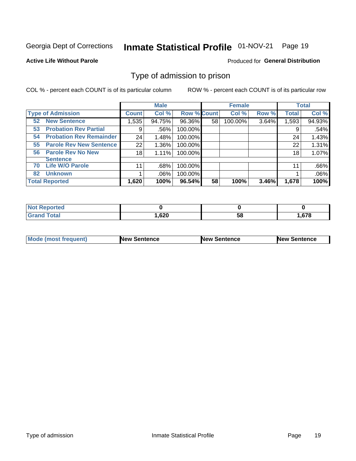#### Inmate Statistical Profile 01-NOV-21 Page 19

### **Active Life Without Parole**

### Produced for General Distribution

# Type of admission to prison

COL % - percent each COUNT is of its particular column

|                                      |              | <b>Male</b> |                    |    | <b>Female</b> |       |              | <b>Total</b> |
|--------------------------------------|--------------|-------------|--------------------|----|---------------|-------|--------------|--------------|
| <b>Type of Admission</b>             | <b>Count</b> | Col %       | <b>Row % Count</b> |    | Col %         | Row % | <b>Total</b> | Col %        |
| <b>New Sentence</b><br>52            | 1,535        | 94.75%      | 96.36%             | 58 | 100.00%       | 3.64% | 1,593        | 94.93%       |
| <b>Probation Rev Partial</b><br>53   | 9            | .56%        | 100.00%            |    |               |       | 9            | .54%         |
| <b>Probation Rev Remainder</b><br>54 | 24           | 1.48%       | 100.00%            |    |               |       | 24           | 1.43%        |
| <b>Parole Rev New Sentence</b><br>55 | 22           | 1.36%       | 100.00%            |    |               |       | 22           | 1.31%        |
| <b>Parole Rev No New</b><br>56       | 18           | 1.11%       | 100.00%            |    |               |       | 18           | 1.07%        |
| <b>Sentence</b>                      |              |             |                    |    |               |       |              |              |
| <b>Life W/O Parole</b><br>70         | 11           | .68%        | 100.00%            |    |               |       | 11           | .66%         |
| <b>Unknown</b><br>82                 |              | .06%        | 100.00%            |    |               |       |              | .06%         |
| <b>Total Reported</b>                | 1,620        | 100%        | $96.54\%$          | 58 | 100%          | 3.46% | 1,678        | 100%         |

| <b>Not Reported</b>          |       |    |        |
|------------------------------|-------|----|--------|
| <b>Total</b><br><b>Grand</b> | 1,620 | 58 | . 678، |

| Mode (most frequent) | <b>New Sentence</b> | <b>New Sentence</b> | <b>New Sentence</b> |
|----------------------|---------------------|---------------------|---------------------|
|                      |                     |                     |                     |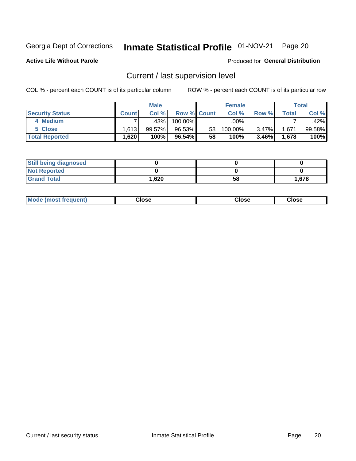# Inmate Statistical Profile 01-NOV-21 Page 20

**Active Life Without Parole** 

### Produced for General Distribution

# Current / last supervision level

COL % - percent each COUNT is of its particular column

|                        |              | <b>Male</b> |                    |                 | <b>Female</b>      |          |       | <b>Total</b> |
|------------------------|--------------|-------------|--------------------|-----------------|--------------------|----------|-------|--------------|
| <b>Security Status</b> | <b>Count</b> | Col%        | <b>Row % Count</b> |                 | Col %              | Row %    | Total | Col %        |
| 4 Medium               |              | .43%        | 100.00%            |                 | $.00\%$ $^{\circ}$ |          |       | .42%         |
| 5 Close                | .613         | $99.57\%$   | 96.53%             | 58 <sup>1</sup> | 100.00%            | $3.47\%$ | 1,671 | 99.58%       |
| <b>Total Reported</b>  | .620         | 100%        | 96.54%             | 58              | 100%               | $3.46\%$ | 1.678 | 100%         |

| <b>Still being diagnosed</b> |        |    |       |
|------------------------------|--------|----|-------|
| <b>Not Reported</b>          |        |    |       |
| <b>Grand Total</b>           | 620, ا | 58 | 1,678 |

| <b>Mode (most frequent)</b> | Close | ∵lose | Close |
|-----------------------------|-------|-------|-------|
|                             |       |       |       |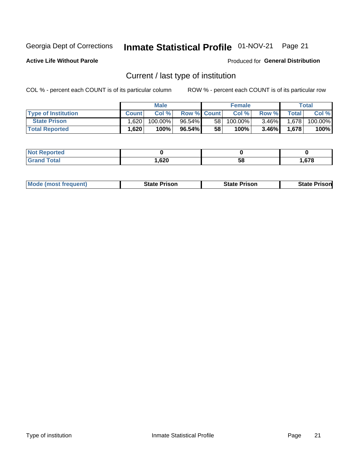# Inmate Statistical Profile 01-NOV-21 Page 21

**Active Life Without Parole** 

Produced for General Distribution

# Current / last type of institution

COL % - percent each COUNT is of its particular column

|                            |       | <b>Male</b> |                    |                 | <b>Female</b> |          |       | Total   |
|----------------------------|-------|-------------|--------------------|-----------------|---------------|----------|-------|---------|
| <b>Type of Institution</b> | Count | Col%        | <b>Row % Count</b> |                 | Col %         | Row %    | Total | Col %   |
| <b>State Prison</b>        | 1.620 | $100.00\%$  | $96.54\%$          | 58 <sub>1</sub> | $100.00\%$    | $3.46\%$ | 1,678 | 100.00% |
| <b>Total Reported</b>      | 1,620 | 100%        | $96.54\%$          | 58              | 100%          | 3.46%    | 1,678 | 100%    |

| 'ted<br>. |                    |    |                    |
|-----------|--------------------|----|--------------------|
|           | <b>GOO</b><br>,ozu | ວເ | <b>C70</b><br>01 C |

| <b>Mode (most frequent)</b> | State Prison | <b>State Prison</b> | State<br>⊦ Prisonl |
|-----------------------------|--------------|---------------------|--------------------|
|                             |              |                     |                    |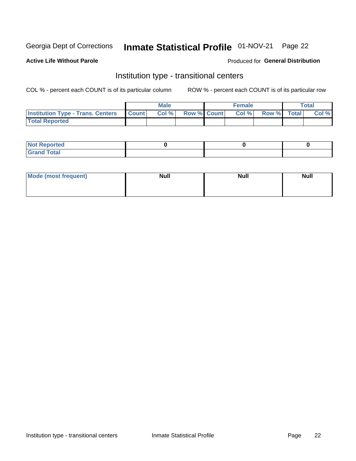# Inmate Statistical Profile 01-NOV-21 Page 22

## **Active Life Without Parole**

### Produced for General Distribution

# Institution type - transitional centers

COL % - percent each COUNT is of its particular column

|                                          |              | <b>Male</b> |             | <b>Female</b> |             | <b>Total</b> |
|------------------------------------------|--------------|-------------|-------------|---------------|-------------|--------------|
| <b>Institution Type - Trans. Centers</b> | <b>Count</b> | Col %       | Row % Count | Col %         | Row % Total | Col %        |
| <b>Total Reported</b>                    |              |             |             |               |             |              |

| <b>Reported</b><br><b>NOT</b><br>$\sim$            |  |  |
|----------------------------------------------------|--|--|
| $f$ $f \circ f \circ f$<br>$C = 1$<br><b>TULAI</b> |  |  |

| Mode (most frequent) | <b>Null</b> | <b>Null</b> | <b>Null</b> |
|----------------------|-------------|-------------|-------------|
|                      |             |             |             |
|                      |             |             |             |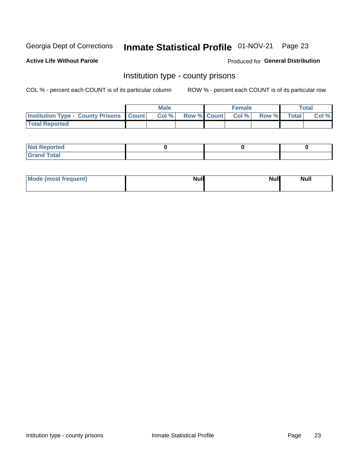# Inmate Statistical Profile 01-NOV-21 Page 23

**Active Life Without Parole** 

Produced for General Distribution

# Institution type - county prisons

COL % - percent each COUNT is of its particular column

|                                                    | <b>Male</b> |       |  | <b>Female</b> |                          |             | <b>Total</b> |       |
|----------------------------------------------------|-------------|-------|--|---------------|--------------------------|-------------|--------------|-------|
| <b>Institution Type - County Prisons   Count  </b> |             | Col % |  |               | <b>Row % Count Col %</b> | Row % Total |              | Col % |
| <b>Total Reported</b>                              |             |       |  |               |                          |             |              |       |

| <b>Not Reported</b>   |  |  |
|-----------------------|--|--|
| <b>Total</b><br>Granc |  |  |

| Mode (most frequent) | <b>Null</b> | <b>Null</b><br><b>Null</b> |
|----------------------|-------------|----------------------------|
|                      |             |                            |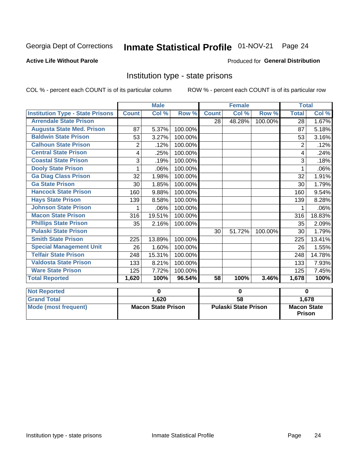# Inmate Statistical Profile 01-NOV-21 Page 24

## **Active Life Without Parole**

## Produced for General Distribution

# Institution type - state prisons

|                                         | <b>Male</b><br><b>Female</b> |          |         |                             | <b>Total</b> |         |                                       |        |
|-----------------------------------------|------------------------------|----------|---------|-----------------------------|--------------|---------|---------------------------------------|--------|
| <b>Institution Type - State Prisons</b> | <b>Count</b>                 | Col %    | Row %   | <b>Count</b>                | Col %        | Row %   | <b>Total</b>                          | Col %  |
| <b>Arrendale State Prison</b>           |                              |          |         | 28                          | 48.28%       | 100.00% | 28                                    | 1.67%  |
| <b>Augusta State Med. Prison</b>        | 87                           | 5.37%    | 100.00% |                             |              |         | 87                                    | 5.18%  |
| <b>Baldwin State Prison</b>             | 53                           | 3.27%    | 100.00% |                             |              |         | 53                                    | 3.16%  |
| <b>Calhoun State Prison</b>             | 2                            | .12%     | 100.00% |                             |              |         | 2                                     | .12%   |
| <b>Central State Prison</b>             | 4                            | .25%     | 100.00% |                             |              |         | 4                                     | .24%   |
| <b>Coastal State Prison</b>             | 3                            | .19%     | 100.00% |                             |              |         | 3                                     | .18%   |
| <b>Dooly State Prison</b>               |                              | .06%     | 100.00% |                             |              |         |                                       | .06%   |
| <b>Ga Diag Class Prison</b>             | 32                           | 1.98%    | 100.00% |                             |              |         | 32                                    | 1.91%  |
| <b>Ga State Prison</b>                  | 30                           | 1.85%    | 100.00% |                             |              |         | 30                                    | 1.79%  |
| <b>Hancock State Prison</b>             | 160                          | 9.88%    | 100.00% |                             |              |         | 160                                   | 9.54%  |
| <b>Hays State Prison</b>                | 139                          | 8.58%    | 100.00% |                             |              |         | 139                                   | 8.28%  |
| <b>Johnson State Prison</b>             |                              | .06%     | 100.00% |                             |              |         |                                       | .06%   |
| <b>Macon State Prison</b>               | 316                          | 19.51%   | 100.00% |                             |              |         | 316                                   | 18.83% |
| <b>Phillips State Prison</b>            | 35                           | 2.16%    | 100.00% |                             |              |         | 35                                    | 2.09%  |
| <b>Pulaski State Prison</b>             |                              |          |         | 30                          | 51.72%       | 100.00% | 30                                    | 1.79%  |
| <b>Smith State Prison</b>               | 225                          | 13.89%   | 100.00% |                             |              |         | 225                                   | 13.41% |
| <b>Special Management Unit</b>          | 26                           | 1.60%    | 100.00% |                             |              |         | 26                                    | 1.55%  |
| <b>Telfair State Prison</b>             | 248                          | 15.31%   | 100.00% |                             |              |         | 248                                   | 14.78% |
| <b>Valdosta State Prison</b>            | 133                          | 8.21%    | 100.00% |                             |              |         | 133                                   | 7.93%  |
| <b>Ware State Prison</b>                | 125                          | 7.72%    | 100.00% |                             |              |         | 125                                   | 7.45%  |
| <b>Total Reported</b>                   | 1,620                        | 100%     | 96.54%  | $\overline{58}$             | 100%         | 3.46%   | 1,678                                 | 100%   |
| <b>Not Reported</b>                     |                              | $\bf{0}$ |         | $\bf{0}$                    |              |         | $\bf{0}$                              |        |
| <b>Grand Total</b>                      |                              | 1,620    |         | $\overline{58}$             |              |         |                                       |        |
| <b>Mode (most frequent)</b>             | <b>Macon State Prison</b>    |          |         | <b>Pulaski State Prison</b> |              |         | 1,678<br><b>Macon State</b><br>Prison |        |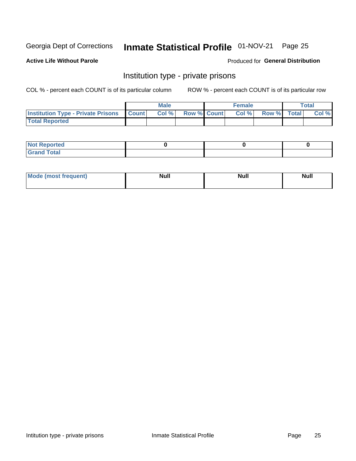# Inmate Statistical Profile 01-NOV-21 Page 25

## **Active Life Without Parole**

### Produced for General Distribution

# Institution type - private prisons

COL % - percent each COUNT is of its particular column

|                                                     | <b>Male</b> |      |                    | <b>Female</b> |       |             | <b>Total</b> |       |
|-----------------------------------------------------|-------------|------|--------------------|---------------|-------|-------------|--------------|-------|
| <b>Institution Type - Private Prisons   Count  </b> |             | Col% | <b>Row % Count</b> |               | Col % | Row % Total |              | Col % |
| <b>Total Reported</b>                               |             |      |                    |               |       |             |              |       |

| Not Reported           |  |  |
|------------------------|--|--|
| <b>Cotal</b><br>______ |  |  |

| <b>Mo</b><br>frequent) | <b>Null</b> | <b>Null</b> | . . I *<br><b>IVUII</b> |
|------------------------|-------------|-------------|-------------------------|
|                        |             |             |                         |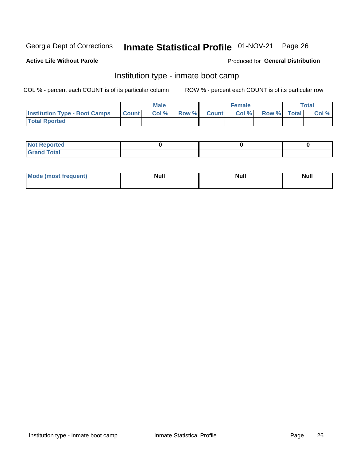# Inmate Statistical Profile 01-NOV-21 Page 26

### **Active Life Without Parole**

### Produced for General Distribution

# Institution type - inmate boot camp

COL % - percent each COUNT is of its particular column

|                                      | <b>Male</b>  |       |               |              | <b>Female</b> | <b>Total</b> |  |       |
|--------------------------------------|--------------|-------|---------------|--------------|---------------|--------------|--|-------|
| <b>Institution Type - Boot Camps</b> | <b>Count</b> | Col % | <b>Row %I</b> | <b>Count</b> | Col %         | Row % Total  |  | Col % |
| <b>Total Rported</b>                 |              |       |               |              |               |              |  |       |

| <b>Not Reported</b>            |  |  |
|--------------------------------|--|--|
| <b>Total</b><br>C <sub>r</sub> |  |  |

| Mod<br>uamo | Nul.<br>$- - - - - -$ | <b>Null</b> | <br>uu.<br>------ |
|-------------|-----------------------|-------------|-------------------|
|             |                       |             |                   |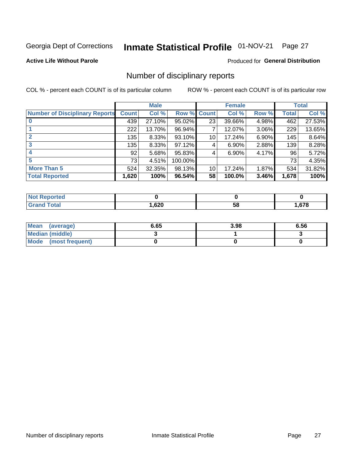# Inmate Statistical Profile 01-NOV-21 Page 27

## **Active Life Without Parole**

### Produced for General Distribution

# Number of disciplinary reports

COL % - percent each COUNT is of its particular column

|                                       | <b>Male</b>  |          |         | <b>Female</b> |          |       | <b>Total</b> |        |
|---------------------------------------|--------------|----------|---------|---------------|----------|-------|--------------|--------|
| <b>Number of Disciplinary Reports</b> | <b>Count</b> | Col %    | Row %   | <b>Count</b>  | Col %    | Row % | <b>Total</b> | Col %  |
|                                       | 439          | 27.10%   | 95.02%  | 23            | 39.66%   | 4.98% | 462          | 27.53% |
|                                       | 222          | 13.70%   | 96.94%  | 7             | 12.07%   | 3.06% | 229          | 13.65% |
| $\mathbf{2}$                          | 135          | $8.33\%$ | 93.10%  | 10            | 17.24%   | 6.90% | 145          | 8.64%  |
| 3                                     | 135          | $8.33\%$ | 97.12%  | 4             | $6.90\%$ | 2.88% | 139          | 8.28%  |
|                                       | 92           | 5.68%    | 95.83%  | 4             | 6.90%    | 4.17% | 96           | 5.72%  |
| 5                                     | 73           | 4.51%    | 100.00% |               |          |       | 73           | 4.35%  |
| <b>More Than 5</b>                    | 524          | 32.35%   | 98.13%  | 10            | 17.24%   | 1.87% | 534          | 31.82% |
| <b>Total Reported</b>                 | 1,620        | 100%     | 96.54%  | 58            | 100.0%   | 3.46% | 1,678        | 100%   |

| NO<br>тео |      |    |      |
|-----------|------|----|------|
| Гоtal     | ,620 | Эō | .678 |

| Mean (average)       | 6.65 | 3.98 | 6.56 |
|----------------------|------|------|------|
| Median (middle)      |      |      |      |
| Mode (most frequent) |      |      |      |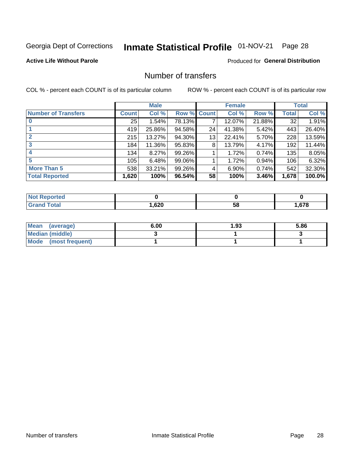# Inmate Statistical Profile 01-NOV-21 Page 28

## **Active Life Without Parole**

### Produced for General Distribution

# Number of transfers

COL % - percent each COUNT is of its particular column

|                            |         | <b>Male</b> |        |              | <b>Female</b> |        |              | <b>Total</b> |
|----------------------------|---------|-------------|--------|--------------|---------------|--------|--------------|--------------|
| <b>Number of Transfers</b> | Count l | Col %       | Row %  | <b>Count</b> | Col %         | Row %  | <b>Total</b> | Col %        |
|                            | 25      | 1.54%       | 78.13% | 7            | 12.07%        | 21.88% | 32           | 1.91%        |
|                            | 419     | 25.86%      | 94.58% | 24           | 41.38%        | 5.42%  | 443          | 26.40%       |
| $\mathbf{2}$               | 215     | 13.27%      | 94.30% | 13           | 22.41%        | 5.70%  | 228          | 13.59%       |
| 3                          | 184     | 11.36%      | 95.83% | 8            | 13.79%        | 4.17%  | 192          | 11.44%       |
|                            | 134     | 8.27%       | 99.26% |              | 1.72%         | 0.74%  | 135          | 8.05%        |
| 5                          | 105     | 6.48%       | 99.06% |              | 1.72%         | 0.94%  | 106          | 6.32%        |
| <b>More Than 5</b>         | 538     | 33.21%      | 99.26% | 4            | 6.90%         | 0.74%  | 542          | 32.30%       |
| <b>Total Reported</b>      | 1,620   | 100%        | 96.54% | 58           | 100%          | 3.46%  | 1,678        | 100.0%       |

| orted<br>NO  |      |    |      |
|--------------|------|----|------|
| <b>Total</b> | ,620 | ၁၀ | .678 |

| Mean (average)       | 6.00 | 93. ا | 5.86 |
|----------------------|------|-------|------|
| Median (middle)      |      |       |      |
| Mode (most frequent) |      |       |      |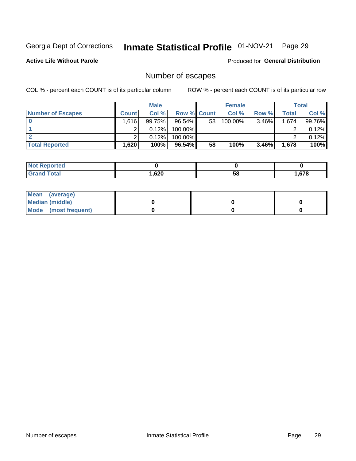# Inmate Statistical Profile 01-NOV-21 Page 29

**Active Life Without Parole** 

Produced for General Distribution

# Number of escapes

COL % - percent each COUNT is of its particular column

|                          | <b>Male</b>       |        |                    | <b>Female</b>   |         |          | Total |        |
|--------------------------|-------------------|--------|--------------------|-----------------|---------|----------|-------|--------|
| <b>Number of Escapes</b> | <b>Count</b>      | Col %  | <b>Row % Count</b> |                 | Col %   | Row %    | Total | Col %  |
|                          | 1.616             | 99.75% | $96.54\%$          | 58 <sub>1</sub> | 100.00% | 3.46%    | 1,674 | 99.76% |
|                          |                   | 0.12%  | $100.00\%$         |                 |         |          |       | 0.12%  |
|                          |                   | 0.12%  | $100.00\%$         |                 |         |          |       | 0.12%  |
| <b>Total Reported</b>    | .620 <sup>1</sup> | 100%   | 96.54%             | 58              | 100%    | $3.46\%$ | 1,678 | 100%   |

| <b>Reported</b><br><b>NOT</b> |        |    |      |
|-------------------------------|--------|----|------|
| <b>Total</b>                  | 620, ا | 58 | .678 |

| Mean (average)       |  |  |
|----------------------|--|--|
| Median (middle)      |  |  |
| Mode (most frequent) |  |  |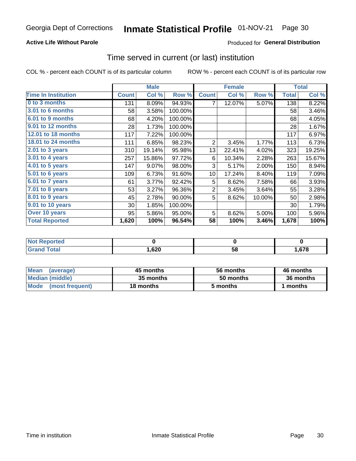## **Active Life Without Parole**

## **Produced for General Distribution**

# Time served in current (or last) institution

COL % - percent each COUNT is of its particular column

|                            |              | <b>Male</b> |         |                | <b>Female</b> |        | <b>Total</b> |        |
|----------------------------|--------------|-------------|---------|----------------|---------------|--------|--------------|--------|
| <b>Time In Institution</b> | <b>Count</b> | Col %       | Row %   | <b>Count</b>   | Col %         | Row %  | <b>Total</b> | Col %  |
| 0 to 3 months              | 131          | 8.09%       | 94.93%  | 7              | 12.07%        | 5.07%  | 138          | 8.22%  |
| <b>3.01 to 6 months</b>    | 58           | 3.58%       | 100.00% |                |               |        | 58           | 3.46%  |
| 6.01 to 9 months           | 68           | 4.20%       | 100.00% |                |               |        | 68           | 4.05%  |
| 9.01 to 12 months          | 28           | 1.73%       | 100.00% |                |               |        | 28           | 1.67%  |
| 12.01 to 18 months         | 117          | 7.22%       | 100.00% |                |               |        | 117          | 6.97%  |
| <b>18.01 to 24 months</b>  | 111          | 6.85%       | 98.23%  | $\overline{2}$ | 3.45%         | 1.77%  | 113          | 6.73%  |
| $2.01$ to 3 years          | 310          | 19.14%      | 95.98%  | 13             | 22.41%        | 4.02%  | 323          | 19.25% |
| $3.01$ to 4 years          | 257          | 15.86%      | 97.72%  | 6              | 10.34%        | 2.28%  | 263          | 15.67% |
| 4.01 to 5 years            | 147          | 9.07%       | 98.00%  | 3              | 5.17%         | 2.00%  | 150          | 8.94%  |
| 5.01 to 6 years            | 109          | 6.73%       | 91.60%  | 10             | 17.24%        | 8.40%  | 119          | 7.09%  |
| 6.01 to 7 years            | 61           | 3.77%       | 92.42%  | 5              | 8.62%         | 7.58%  | 66           | 3.93%  |
| 7.01 to 8 years            | 53           | 3.27%       | 96.36%  | $\overline{2}$ | 3.45%         | 3.64%  | 55           | 3.28%  |
| 8.01 to 9 years            | 45           | 2.78%       | 90.00%  | 5              | 8.62%         | 10.00% | 50           | 2.98%  |
| 9.01 to 10 years           | 30           | 1.85%       | 100.00% |                |               |        | 30           | 1.79%  |
| Over 10 years              | 95           | 5.86%       | 95.00%  | 5              | 8.62%         | 5.00%  | 100          | 5.96%  |
| <b>Total Reported</b>      | 1,620        | 100%        | 96.54%  | 58             | 100%          | 3.46%  | 1,678        | 100%   |

| Reported<br>NOT        |      |    |      |
|------------------------|------|----|------|
| $f \wedge f \wedge f'$ | ,620 | vu | .678 |

| <b>Mean</b><br>(average) | 45 months | 56 months | 46 months |
|--------------------------|-----------|-----------|-----------|
| Median (middle)          | 35 months | 50 months | 36 months |
| Mode (most frequent)     | 18 months | 5 months  | 1 months  |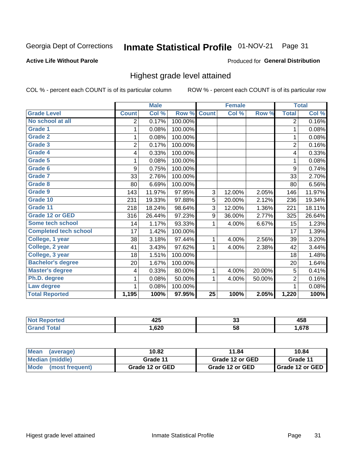#### Inmate Statistical Profile 01-NOV-21 Page 31

### **Active Life Without Parole**

### Produced for General Distribution

# Highest grade level attained

COL % - percent each COUNT is of its particular column

|                              |                | <b>Male</b> |         |                 | <b>Female</b> |        |                | <b>Total</b> |
|------------------------------|----------------|-------------|---------|-----------------|---------------|--------|----------------|--------------|
| <b>Grade Level</b>           | <b>Count</b>   | Col %       | Row %   | <b>Count</b>    | Col %         | Row %  | <b>Total</b>   | Col %        |
| No school at all             | 2              | 0.17%       | 100.00% |                 |               |        | $\overline{2}$ | 0.16%        |
| <b>Grade 1</b>               | 1              | 0.08%       | 100.00% |                 |               |        | 1              | 0.08%        |
| <b>Grade 2</b>               | 1              | 0.08%       | 100.00% |                 |               |        | 1              | 0.08%        |
| <b>Grade 3</b>               | $\overline{2}$ | 0.17%       | 100.00% |                 |               |        | $\overline{2}$ | 0.16%        |
| <b>Grade 4</b>               | 4              | 0.33%       | 100.00% |                 |               |        | 4              | 0.33%        |
| Grade 5                      | 1              | 0.08%       | 100.00% |                 |               |        | 1              | 0.08%        |
| Grade 6                      | 9              | 0.75%       | 100.00% |                 |               |        | 9              | 0.74%        |
| Grade 7                      | 33             | 2.76%       | 100.00% |                 |               |        | 33             | 2.70%        |
| Grade 8                      | 80             | 6.69%       | 100.00% |                 |               |        | 80             | 6.56%        |
| Grade 9                      | 143            | 11.97%      | 97.95%  | 3               | 12.00%        | 2.05%  | 146            | 11.97%       |
| Grade 10                     | 231            | 19.33%      | 97.88%  | 5               | 20.00%        | 2.12%  | 236            | 19.34%       |
| Grade 11                     | 218            | 18.24%      | 98.64%  | 3               | 12.00%        | 1.36%  | 221            | 18.11%       |
| <b>Grade 12 or GED</b>       | 316            | 26.44%      | 97.23%  | 9               | 36.00%        | 2.77%  | 325            | 26.64%       |
| Some tech school             | 14             | 1.17%       | 93.33%  | 1               | 4.00%         | 6.67%  | 15             | 1.23%        |
| <b>Completed tech school</b> | 17             | 1.42%       | 100.00% |                 |               |        | 17             | 1.39%        |
| College, 1 year              | 38             | 3.18%       | 97.44%  | 1               | 4.00%         | 2.56%  | 39             | 3.20%        |
| College, 2 year              | 41             | 3.43%       | 97.62%  | 1               | 4.00%         | 2.38%  | 42             | 3.44%        |
| College, 3 year              | 18             | 1.51%       | 100.00% |                 |               |        | 18             | 1.48%        |
| <b>Bachelor's degree</b>     | 20             | 1.67%       | 100.00% |                 |               |        | 20             | 1.64%        |
| <b>Master's degree</b>       | 4              | 0.33%       | 80.00%  | 1               | 4.00%         | 20.00% | 5              | 0.41%        |
| Ph.D. degree                 | 1              | 0.08%       | 50.00%  | 1               | 4.00%         | 50.00% | $\overline{2}$ | 0.16%        |
| Law degree                   |                | 0.08%       | 100.00% |                 |               |        | 1              | 0.08%        |
| <b>Total Reported</b>        | 1,195          | 100%        | 97.95%  | $\overline{25}$ | 100%          | 2.05%  | 1,220          | 100%         |

| N | 10 E<br>−∠∪ | ^^<br>ູບ | $\mathbf{A}$<br>マソし<br>__ |
|---|-------------|----------|---------------------------|
|   | ,620        | 58       | .678                      |

| <b>Mean</b><br>(average) | 10.82           | 11.84           | 10.84                    |
|--------------------------|-----------------|-----------------|--------------------------|
| Median (middle)          | Grade 11        | Grade 12 or GED | Grade 11                 |
| Mode (most frequent)     | Grade 12 or GED | Grade 12 or GED | <b>I</b> Grade 12 or GED |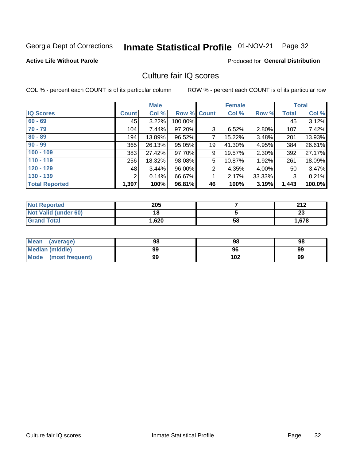#### Inmate Statistical Profile 01-NOV-21 Page 32

### **Active Life Without Parole**

### Produced for General Distribution

# Culture fair IQ scores

COL % - percent each COUNT is of its particular column

|                       |                | <b>Male</b> |             |    | <b>Female</b> |        |              | <b>Total</b> |
|-----------------------|----------------|-------------|-------------|----|---------------|--------|--------------|--------------|
| <b>IQ Scores</b>      | <b>Count</b>   | Col %       | Row % Count |    | Col %         | Row %  | <b>Total</b> | Col %        |
| $60 - 69$             | 45             | 3.22%       | 100.00%     |    |               |        | 45           | 3.12%        |
| $70 - 79$             | 104            | 7.44%       | 97.20%      | 3  | 6.52%         | 2.80%  | 107          | 7.42%        |
| $80 - 89$             | 194            | 13.89%      | 96.52%      | 7  | 15.22%        | 3.48%  | 201          | 13.93%       |
| $90 - 99$             | 365            | 26.13%      | 95.05%      | 19 | 41.30%        | 4.95%  | 384          | 26.61%       |
| $100 - 109$           | 383            | 27.42%      | 97.70%      | 9  | 19.57%        | 2.30%  | 392          | 27.17%       |
| $110 - 119$           | 256            | 18.32%      | 98.08%      | 5  | 10.87%        | 1.92%  | 261          | 18.09%       |
| $120 - 129$           | 48             | 3.44%       | 96.00%      | 2  | 4.35%         | 4.00%  | 50           | 3.47%        |
| $130 - 139$           | $\overline{2}$ | 0.14%       | 66.67%      | 4  | 2.17%         | 33.33% | 3            | 0.21%        |
| <b>Total Reported</b> | 1,397          | 100%        | 96.81%      | 46 | 100%          | 3.19%  | 1,443        | 100.0%       |

| <b>Not Reported</b>  | 205   |    | 212<br>LIL |
|----------------------|-------|----|------------|
| Not Valid (under 60) | 18    |    | ົ<br>20    |
| <b>Grand Total</b>   | 1,620 | 58 | 1,678      |

| Mean<br>(average)    | 98 | 98  | 98 |
|----------------------|----|-----|----|
| Median (middle)      | 99 | 96  | 99 |
| Mode (most frequent) | 99 | 102 | 99 |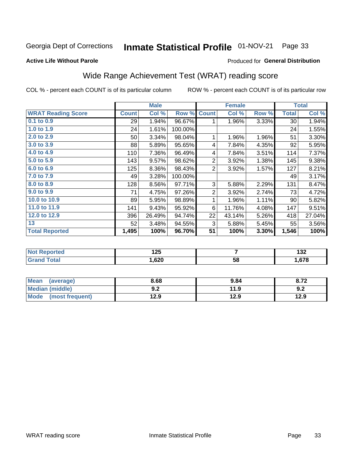#### Inmate Statistical Profile 01-NOV-21 Page 33

### **Active Life Without Parole**

### Produced for General Distribution

# Wide Range Achievement Test (WRAT) reading score

COL % - percent each COUNT is of its particular column

| <b>WRAT Reading Score</b><br>$0.1$ to $0.9$ | <b>Count</b> | Col %  |         |                |        |       | <b>Total</b> |        |
|---------------------------------------------|--------------|--------|---------|----------------|--------|-------|--------------|--------|
|                                             |              |        | Row %   | <b>Count</b>   | Col %  | Row % | <b>Total</b> | Col %  |
|                                             | 29           | 1.94%  | 96.67%  | 1              | 1.96%  | 3.33% | 30           | 1.94%  |
| 1.0 to 1.9                                  | 24           | 1.61%  | 100.00% |                |        |       | 24           | 1.55%  |
| 2.0 to 2.9                                  | 50           | 3.34%  | 98.04%  | 1              | 1.96%  | 1.96% | 51           | 3.30%  |
| 3.0 to 3.9                                  | 88           | 5.89%  | 95.65%  | 4              | 7.84%  | 4.35% | 92           | 5.95%  |
| 4.0 to 4.9                                  | 110          | 7.36%  | 96.49%  | 4              | 7.84%  | 3.51% | 114          | 7.37%  |
| 5.0 to 5.9                                  | 143          | 9.57%  | 98.62%  | $\overline{2}$ | 3.92%  | 1.38% | 145          | 9.38%  |
| 6.0 to 6.9                                  | 125          | 8.36%  | 98.43%  | $\overline{2}$ | 3.92%  | 1.57% | 127          | 8.21%  |
| 7.0 to 7.9                                  | 49           | 3.28%  | 100.00% |                |        |       | 49           | 3.17%  |
| 8.0 to 8.9                                  | 128          | 8.56%  | 97.71%  | 3              | 5.88%  | 2.29% | 131          | 8.47%  |
| 9.0 to 9.9                                  | 71           | 4.75%  | 97.26%  | $\overline{2}$ | 3.92%  | 2.74% | 73           | 4.72%  |
| 10.0 to 10.9                                | 89           | 5.95%  | 98.89%  | 1              | 1.96%  | 1.11% | 90           | 5.82%  |
| 11.0 to 11.9                                | 141          | 9.43%  | 95.92%  | 6              | 11.76% | 4.08% | 147          | 9.51%  |
| 12.0 to 12.9                                | 396          | 26.49% | 94.74%  | 22             | 43.14% | 5.26% | 418          | 27.04% |
| 13                                          | 52           | 3.48%  | 94.55%  | 3              | 5.88%  | 5.45% | 55           | 3.56%  |
| <b>Total Reported</b>                       | 1,495        | 100%   | 96.70%  | 51             | 100%   | 3.30% | 1,546        | 100%   |

| <b>Not</b>      | ィヘビ  |    | .           |
|-----------------|------|----|-------------|
| <b>Reported</b> | ॱ∠J  |    | IJZ.        |
| <b>otal</b>     | .620 | 58 | c70<br>11 C |

| <b>Mean</b><br>(average)       | 8.68               | 9.84 | 8.72 |
|--------------------------------|--------------------|------|------|
| <b>Median (middle)</b>         | י ה<br><u> ม.∠</u> | 11.9 | 9.2  |
| <b>Mode</b><br>(most frequent) | 12.9               | 12.9 | 12.9 |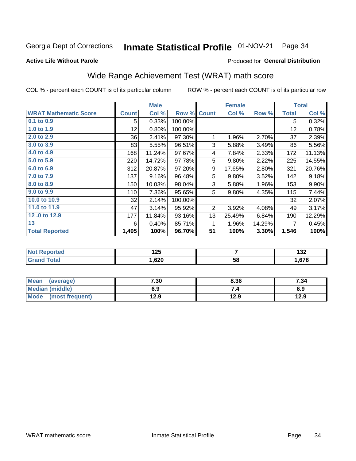#### Inmate Statistical Profile 01-NOV-21 Page 34

### **Active Life Without Parole**

### Produced for General Distribution

# Wide Range Achievement Test (WRAT) math score

COL % - percent each COUNT is of its particular column

|                              |              | <b>Male</b> |         |                | <b>Female</b> |        |              | <b>Total</b> |
|------------------------------|--------------|-------------|---------|----------------|---------------|--------|--------------|--------------|
| <b>WRAT Mathematic Score</b> | <b>Count</b> | Col %       | Row %   | <b>Count</b>   | Col %         | Row %  | <b>Total</b> | Col %        |
| 0.1 to 0.9                   | 5            | 0.33%       | 100.00% |                |               |        | 5            | 0.32%        |
| 1.0 to 1.9                   | 12           | 0.80%       | 100.00% |                |               |        | 12           | 0.78%        |
| 2.0 to 2.9                   | 36           | 2.41%       | 97.30%  | 1              | 1.96%         | 2.70%  | 37           | 2.39%        |
| 3.0 to 3.9                   | 83           | 5.55%       | 96.51%  | 3              | 5.88%         | 3.49%  | 86           | 5.56%        |
| 4.0 to 4.9                   | 168          | 11.24%      | 97.67%  | 4              | 7.84%         | 2.33%  | 172          | 11.13%       |
| 5.0 to 5.9                   | 220          | 14.72%      | 97.78%  | 5              | 9.80%         | 2.22%  | 225          | 14.55%       |
| 6.0 to 6.9                   | 312          | 20.87%      | 97.20%  | 9              | 17.65%        | 2.80%  | 321          | 20.76%       |
| 7.0 to 7.9                   | 137          | 9.16%       | 96.48%  | 5              | 9.80%         | 3.52%  | 142          | 9.18%        |
| 8.0 to 8.9                   | 150          | 10.03%      | 98.04%  | 3              | 5.88%         | 1.96%  | 153          | $9.90\%$     |
| 9.0 to 9.9                   | 110          | 7.36%       | 95.65%  | 5              | 9.80%         | 4.35%  | 115          | 7.44%        |
| 10.0 to 10.9                 | 32           | 2.14%       | 100.00% |                |               |        | 32           | 2.07%        |
| 11.0 to 11.9                 | 47           | 3.14%       | 95.92%  | $\overline{2}$ | 3.92%         | 4.08%  | 49           | 3.17%        |
| 12.0 to 12.9                 | 177          | 11.84%      | 93.16%  | 13             | 25.49%        | 6.84%  | 190          | 12.29%       |
| 13                           | 6            | 0.40%       | 85.71%  | 1              | 1.96%         | 14.29% | 7            | 0.45%        |
| <b>Total Reported</b>        | 1,495        | 100%        | 96.70%  | 51             | 100%          | 3.30%  | 1,546        | 100%         |
|                              |              |             |         |                |               |        |              |              |

| <b>Not Reported</b> | א ו<br>12J |    | ,<br>1JZ. |
|---------------------|------------|----|-----------|
| <b>Total</b>        | .,620      | 58 | .,678     |

| Mean (average)         | 7.30 | 8.36 | 7.34 |
|------------------------|------|------|------|
| <b>Median (middle)</b> | 6.9  | 7.4  | 6.9  |
| Mode (most frequent)   | 12.9 | 12.9 | 12.9 |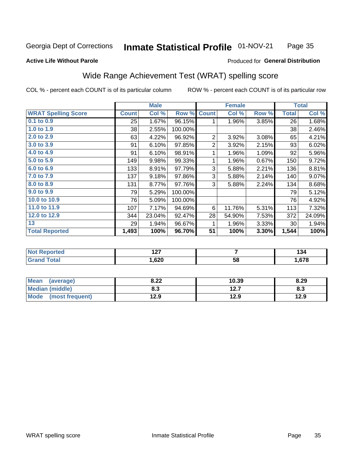#### Inmate Statistical Profile 01-NOV-21 Page 35

## **Active Life Without Parole**

### Produced for General Distribution

# Wide Range Achievement Test (WRAT) spelling score

COL % - percent each COUNT is of its particular column

|                            |              | <b>Male</b>               |         |                | <b>Female</b>   |       |              | <b>Total</b> |  |
|----------------------------|--------------|---------------------------|---------|----------------|-----------------|-------|--------------|--------------|--|
| <b>WRAT Spelling Score</b> | <b>Count</b> | $\overline{\text{Col}}$ % | Row %   | <b>Count</b>   | Col %           | Row % | <b>Total</b> | Col %        |  |
| 0.1 to 0.9                 | 25           | 1.67%                     | 96.15%  | 1              | 1.96%           | 3.85% | 26           | 1.68%        |  |
| 1.0 to 1.9                 | 38           | 2.55%                     | 100.00% |                |                 |       | 38           | 2.46%        |  |
| 2.0 to 2.9                 | 63           | 4.22%                     | 96.92%  | 2              | 3.92%           | 3.08% | 65           | 4.21%        |  |
| 3.0 to 3.9                 | 91           | 6.10%                     | 97.85%  | $\overline{2}$ | 3.92%           | 2.15% | 93           | 6.02%        |  |
| 4.0 to 4.9                 | 91           | 6.10%                     | 98.91%  | 1              | 1.96%           | 1.09% | 92           | 5.96%        |  |
| 5.0 t0 5.9                 | 149          | 9.98%                     | 99.33%  | 1              | 1.96%           | 0.67% | 150          | 9.72%        |  |
| 6.0 to 6.9                 | 133          | 8.91%                     | 97.79%  | 3              | 5.88%           | 2.21% | 136          | 8.81%        |  |
| 7.0 to 7.9                 | 137          | 9.18%                     | 97.86%  | 3              | 5.88%           | 2.14% | 140          | 9.07%        |  |
| 8.0 to 8.9                 | 131          | 8.77%                     | 97.76%  | 3              | 5.88%           | 2.24% | 134          | 8.68%        |  |
| 9.0 to 9.9                 | 79           | 5.29%                     | 100.00% |                |                 |       | 79           | 5.12%        |  |
| 10.0 to 10.9               | 76           | 5.09%                     | 100.00% |                |                 |       | 76           | 4.92%        |  |
| 11.0 to 11.9               | 107          | 7.17%                     | 94.69%  | 6              | 11.76%          | 5.31% | 113          | 7.32%        |  |
| 12.0 to 12.9               | 344          | 23.04%                    | 92.47%  | 28             | 54.90%          | 7.53% | 372          | 24.09%       |  |
| 13                         | 29           | 1.94%                     | 96.67%  | 1              | 1.96%           | 3.33% | 30           | 1.94%        |  |
| <b>Total Reported</b>      | 1,493        | 100%                      | 96.70%  | 51             | 100%            | 3.30% | 1,544        | 100%         |  |
|                            |              |                           |         |                |                 |       |              |              |  |
| <b>Not Reported</b>        |              | 127                       |         |                | 7               |       |              | 134          |  |
| <b>Grand Total</b>         |              | 1,620                     |         |                | $\overline{58}$ |       |              | 1,678        |  |

| Mean<br>(average)              | 8.22       | 10.39         | 8.29 |
|--------------------------------|------------|---------------|------|
| <b>Median (middle)</b>         | י ה<br>ბ.ა | 1つ 7<br>I 4.I | ი.ა  |
| <b>Mode</b><br>(most frequent) | 12.9       | 12.9          | 12.9 |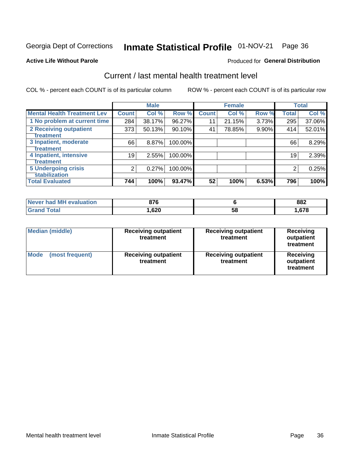# Inmate Statistical Profile 01-NOV-21 Page 36

### **Active Life Without Parole**

## **Produced for General Distribution**

# Current / last mental health treatment level

COL % - percent each COUNT is of its particular column

|                                    |              | <b>Male</b> |         |              | <b>Female</b> |          |              | <b>Total</b> |
|------------------------------------|--------------|-------------|---------|--------------|---------------|----------|--------------|--------------|
| <b>Mental Health Treatment Lev</b> | <b>Count</b> | Col %       | Row %   | <b>Count</b> | Col %         | Row %    | <b>Total</b> | Col %        |
| 1 No problem at current time       | 284          | 38.17%      | 96.27%  | 11           | 21.15%        | 3.73%    | 295          | 37.06%       |
| 2 Receiving outpatient             | 373          | 50.13%      | 90.10%  | 41           | 78.85%        | $9.90\%$ | 414          | 52.01%       |
| <b>Treatment</b>                   |              |             |         |              |               |          |              |              |
| 3 Inpatient, moderate              | 66           | $8.87\%$    | 100.00% |              |               |          | 66           | 8.29%        |
| Treatment                          |              |             |         |              |               |          |              |              |
| 4 Inpatient, intensive             | 19           | 2.55%       | 100.00% |              |               |          | 19           | 2.39%        |
| Treatment                          |              |             |         |              |               |          |              |              |
| <b>5 Undergoing crisis</b>         | 2            | 0.27%       | 100.00% |              |               |          | 2            | 0.25%        |
| <b>stabilization</b>               |              |             |         |              |               |          |              |              |
| <b>Total Evaluated</b>             | 744          | 100%        | 93.47%  | 52           | 100%          | 6.53%    | 796          | 100%         |

| Never had MH<br>evaluation | 876  |    | 882  |
|----------------------------|------|----|------|
| <b>otal</b>                | ,620 | ჂႦ | ,678 |

| <b>Median (middle)</b>         | <b>Receiving outpatient</b><br>treatment | <b>Receiving outpatient</b><br>treatment | <b>Receiving</b><br>outpatient<br>treatment |  |
|--------------------------------|------------------------------------------|------------------------------------------|---------------------------------------------|--|
| <b>Mode</b><br>(most frequent) | <b>Receiving outpatient</b><br>treatment | <b>Receiving outpatient</b><br>treatment | <b>Receiving</b><br>outpatient<br>treatment |  |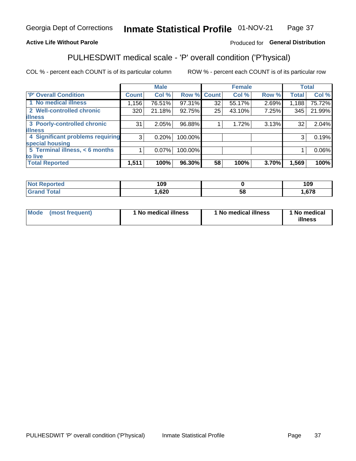#### Inmate Statistical Profile 01-NOV-21 Page 37

## **Active Life Without Parole**

## Produced for General Distribution

# PULHESDWIT medical scale - 'P' overall condition ('P'hysical)

COL % - percent each COUNT is of its particular column

|                                  |                | <b>Male</b> |             |    | <b>Female</b> |       |              | <b>Total</b> |
|----------------------------------|----------------|-------------|-------------|----|---------------|-------|--------------|--------------|
| 'P' Overall Condition            | <b>Count</b>   | Col %       | Row % Count |    | Col %         | Row % | <b>Total</b> | Col %        |
| 1 No medical illness             | 1,156          | 76.51%      | 97.31%      | 32 | 55.17%        | 2.69% | 1,188        | 75.72%       |
| 2 Well-controlled chronic        | 320            | 21.18%      | 92.75%      | 25 | 43.10%        | 7.25% | 345          | 21.99%       |
| <b>illness</b>                   |                |             |             |    |               |       |              |              |
| 3 Poorly-controlled chronic      | 31             | 2.05%       | 96.88%      |    | 1.72%         | 3.13% | 32           | 2.04%        |
| <b>illness</b>                   |                |             |             |    |               |       |              |              |
| 4 Significant problems requiring | 3 <sup>1</sup> | 0.20%       | 100.00%     |    |               |       | 3            | 0.19%        |
| special housing                  |                |             |             |    |               |       |              |              |
| 5 Terminal illness, < 6 months   |                | 0.07%       | 100.00%     |    |               |       |              | 0.06%        |
| to live                          |                |             |             |    |               |       |              |              |
| <b>Total Reported</b>            | 1,511          | 100%        | 96.30%      | 58 | 100%          | 3.70% | 1,569        | 100%         |

| rtea<br>⋯      | 109  |    | 109  |
|----------------|------|----|------|
| $-4-$<br>_____ | ,620 | ၁၀ | .678 |

|  |  | Mode (most frequent) | 1 No medical illness | 1 No medical illness | 1 No medical<br>illness |
|--|--|----------------------|----------------------|----------------------|-------------------------|
|--|--|----------------------|----------------------|----------------------|-------------------------|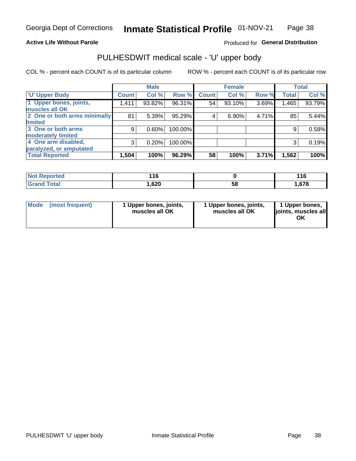## **Active Life Without Parole**

## Produced for General Distribution

# PULHESDWIT medical scale - 'U' upper body

COL % - percent each COUNT is of its particular column

|                              |              | <b>Male</b> |         |              | <b>Female</b> |       |              | <b>Total</b> |
|------------------------------|--------------|-------------|---------|--------------|---------------|-------|--------------|--------------|
| <b>U' Upper Body</b>         | <b>Count</b> | Col %       | Row %   | <b>Count</b> | Col %         | Row % | <b>Total</b> | Col %        |
| 1 Upper bones, joints,       | 1,411        | 93.82%      | 96.31%  | 54           | 93.10%        | 3.69% | 1,465        | 93.79%       |
| muscles all OK               |              |             |         |              |               |       |              |              |
| 2 One or both arms minimally | 81           | 5.39%       | 95.29%  | 4            | 6.90%         | 4.71% | 85           | 5.44%        |
| limited                      |              |             |         |              |               |       |              |              |
| 3 One or both arms           | 9            | 0.60%       | 100.00% |              |               |       | 9            | 0.58%        |
| <b>moderately limited</b>    |              |             |         |              |               |       |              |              |
| 4 One arm disabled,          | 3            | 0.20%       | 100.00% |              |               |       | 3            | 0.19%        |
| paralyzed, or amputated      |              |             |         |              |               |       |              |              |
| <b>Total Reported</b>        | 1,504        | 100%        | 96.29%  | 58           | 100%          | 3.71% | 1,562        | 100%         |

| <b>Not Reported</b> | 16   |    | 116  |
|---------------------|------|----|------|
| <b>Total</b>        | ,620 | 58 | ,678 |

| <b>Mode</b> | (most frequent) | 1 Upper bones, joints,<br>muscles all OK | 1 Upper bones, joints,<br>muscles all OK | 1 Upper bones,<br>ljoints, muscles all<br>ОK |
|-------------|-----------------|------------------------------------------|------------------------------------------|----------------------------------------------|
|-------------|-----------------|------------------------------------------|------------------------------------------|----------------------------------------------|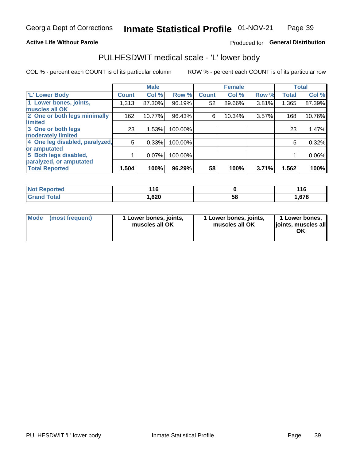## **Active Life Without Parole**

## Produced for General Distribution

# PULHESDWIT medical scale - 'L' lower body

COL % - percent each COUNT is of its particular column

|                                |              | <b>Male</b> |         |              | <b>Female</b> |       |              | <b>Total</b> |
|--------------------------------|--------------|-------------|---------|--------------|---------------|-------|--------------|--------------|
| 'L' Lower Body                 | <b>Count</b> | Col %       | Row %   | <b>Count</b> | Col %         | Row % | <b>Total</b> | Col %        |
| 1 Lower bones, joints,         | 1,313        | 87.30%      | 96.19%  | 52           | 89.66%        | 3.81% | 1,365        | 87.39%       |
| muscles all OK                 |              |             |         |              |               |       |              |              |
| 2 One or both legs minimally   | 162          | 10.77%      | 96.43%  | 6            | 10.34%        | 3.57% | 168          | 10.76%       |
| limited                        |              |             |         |              |               |       |              |              |
| 3 One or both legs             | 23           | 1.53%       | 100.00% |              |               |       | 23           | 1.47%        |
| moderately limited             |              |             |         |              |               |       |              |              |
| 4 One leg disabled, paralyzed, | 5            | 0.33%       | 100.00% |              |               |       | 5            | 0.32%        |
| or amputated                   |              |             |         |              |               |       |              |              |
| 5 Both legs disabled,          |              | 0.07%       | 100.00% |              |               |       |              | 0.06%        |
| paralyzed, or amputated        |              |             |         |              |               |       |              |              |
| <b>Total Reported</b>          | 1,504        | 100%        | 96.29%  | 58           | 100%          | 3.71% | 1,562        | 100%         |

| <b>Not Reported</b>     | AC<br>. |    | 1 A C<br>1 I U |
|-------------------------|---------|----|----------------|
| <b>Total</b><br>' Grand | 620, ا  | 58 | . 678          |

| Mode | (most frequent) | 1 Lower bones, joints,<br>muscles all OK | I Lower bones, joints,<br>muscles all OK | 1 Lower bones,<br>joints, muscles all<br>ΟK |
|------|-----------------|------------------------------------------|------------------------------------------|---------------------------------------------|
|------|-----------------|------------------------------------------|------------------------------------------|---------------------------------------------|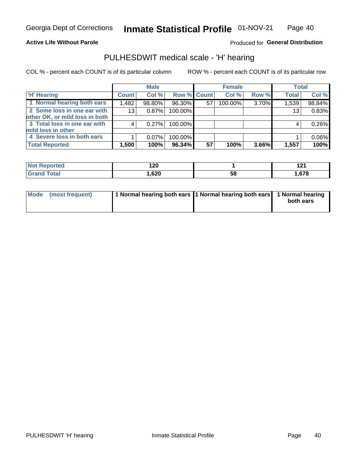## **Active Life Without Parole**

Produced for General Distribution

# PULHESDWIT medical scale - 'H' hearing

COL % - percent each COUNT is of its particular column

|                                |                 | <b>Male</b> |             |    | <b>Female</b> |       | <b>Total</b> |        |
|--------------------------------|-----------------|-------------|-------------|----|---------------|-------|--------------|--------|
| <b>H' Hearing</b>              | <b>Count</b>    | Col %       | Row % Count |    | Col %         | Row % | <b>Total</b> | Col %  |
| 1 Normal hearing both ears     | 1,482           | 98.80%      | 96.30%      | 57 | 100.00%       | 3.70% | 1,539        | 98.84% |
| 2 Some loss in one ear with    | 13 <sub>1</sub> | 0.87%       | 100.00%     |    |               |       | 13           | 0.83%  |
| other OK, or mild loss in both |                 |             |             |    |               |       |              |        |
| 3 Total loss in one ear with   | 4               | 0.27%       | 100.00%     |    |               |       | 4            | 0.26%  |
| mild loss in other             |                 |             |             |    |               |       |              |        |
| 4 Severe loss in both ears     |                 | $0.07\%$    | 100.00%     |    |               |       |              | 0.06%  |
| <b>Total Reported</b>          | 1,500           | 100%        | 96.34%      | 57 | 100%          | 3.66% | 1,557        | 100%   |

| <b>Not</b><br>ported | 120<br>$ -$        |    | 122<br>14 L<br>---      |
|----------------------|--------------------|----|-------------------------|
| 'otal                | <b>GOO</b><br>,uzu | ხშ | <b>679</b><br>. . U / ' |

| Mode (most frequent) | 1 Normal hearing both ears 1 Normal hearing both ears 1 Normal hearing | both ears |
|----------------------|------------------------------------------------------------------------|-----------|
|                      |                                                                        |           |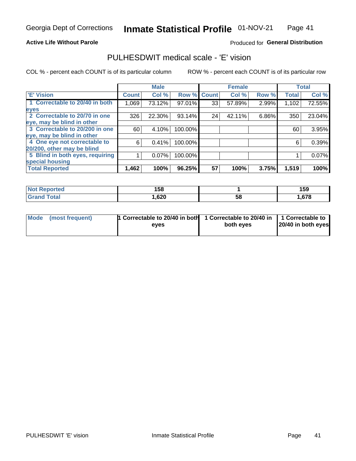## **Active Life Without Parole**

## Produced for General Distribution

# PULHESDWIT medical scale - 'E' vision

COL % - percent each COUNT is of its particular column

|                                 |              | <b>Male</b> |         |              | <b>Female</b> |       |              | <b>Total</b> |
|---------------------------------|--------------|-------------|---------|--------------|---------------|-------|--------------|--------------|
| <b>E' Vision</b>                | <b>Count</b> | Col %       | Row %   | <b>Count</b> | Col %         | Row % | <b>Total</b> | Col %        |
| 1 Correctable to 20/40 in both  | 1,069        | 73.12%      | 97.01%  | 33           | 57.89%        | 2.99% | 1,102        | 72.55%       |
| eyes                            |              |             |         |              |               |       |              |              |
| 2 Correctable to 20/70 in one   | 326          | 22.30%      | 93.14%  | 24           | 42.11%        | 6.86% | 350          | 23.04%       |
| eye, may be blind in other      |              |             |         |              |               |       |              |              |
| 3 Correctable to 20/200 in one  | 60           | 4.10%       | 100.00% |              |               |       | 60           | 3.95%        |
| eye, may be blind in other      |              |             |         |              |               |       |              |              |
| 4 One eye not correctable to    | 6            | 0.41%       | 100.00% |              |               |       | 6            | 0.39%        |
| 20/200, other may be blind      |              |             |         |              |               |       |              |              |
| 5 Blind in both eyes, requiring |              | 0.07%       | 100.00% |              |               |       |              | 0.07%        |
| special housing                 |              |             |         |              |               |       |              |              |
| <b>Total Reported</b>           | 1,462        | 100%        | 96.25%  | 57           | 100%          | 3.75% | 1,519        | 100%         |

| <b>ported</b><br>NOT<br>kenor | 158  |    | 159  |
|-------------------------------|------|----|------|
| ™otal                         | ,620 | 58 | .678 |

| Mode (most frequent) | 1 Correctable to 20/40 in both<br>eves | 1 Correctable to 20/40 in   1 Correctable to  <br>both eves | 20/40 in both eyes |
|----------------------|----------------------------------------|-------------------------------------------------------------|--------------------|
|                      |                                        |                                                             |                    |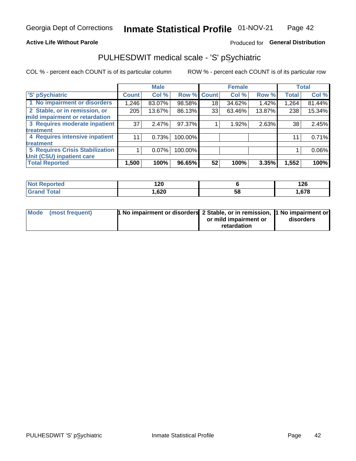## **Active Life Without Parole**

## Produced for General Distribution

# PULHESDWIT medical scale - 'S' pSychiatric

COL % - percent each COUNT is of its particular column

|                                 |              | <b>Male</b> |         |             | <b>Female</b> |        |              | <b>Total</b> |
|---------------------------------|--------------|-------------|---------|-------------|---------------|--------|--------------|--------------|
| 'S' pSychiatric                 | <b>Count</b> | Col %       |         | Row % Count | Col %         | Row %  | <b>Total</b> | Col %        |
| 1 No impairment or disorders    | 1,246        | 83.07%      | 98.58%  | 18          | 34.62%        | 1.42%  | 1,264        | 81.44%       |
| 2 Stable, or in remission, or   | 205          | 13.67%      | 86.13%  | 33          | 63.46%        | 13.87% | 238          | 15.34%       |
| mild impairment or retardation  |              |             |         |             |               |        |              |              |
| 3 Requires moderate inpatient   | 37           | 2.47%       | 97.37%  |             | 1.92%         | 2.63%  | 38           | 2.45%        |
| treatment                       |              |             |         |             |               |        |              |              |
| 4 Requires intensive inpatient  |              | 0.73%       | 100.00% |             |               |        | 11           | 0.71%        |
| <b>treatment</b>                |              |             |         |             |               |        |              |              |
| 5 Requires Crisis Stabilization |              | $0.07\%$    | 100.00% |             |               |        |              | 0.06%        |
| Unit (CSU) inpatient care       |              |             |         |             |               |        |              |              |
| <b>Total Reported</b>           | 1,500        | 100%        | 96.65%  | 52          | 100%          | 3.35%  | 1,552        | 100%         |

| <b>Not Reported</b> | ィクの<br>14 Y |    | 126  |
|---------------------|-------------|----|------|
| <b>Grand Total</b>  | ,620        | 58 | .678 |

| Mode (most frequent) | <b>1 No impairment or disorders</b> 2 Stable, or in remission, 11 No impairment or |                       |           |
|----------------------|------------------------------------------------------------------------------------|-----------------------|-----------|
|                      |                                                                                    | or mild impairment or | disorders |
|                      |                                                                                    | retardation           |           |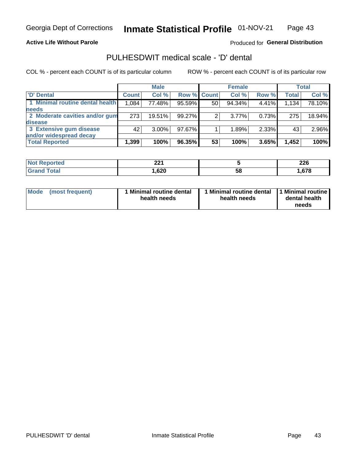**Active Life Without Parole** 

Produced for General Distribution

# PULHESDWIT medical scale - 'D' dental

COL % - percent each COUNT is of its particular column

|                                 |              | <b>Male</b> |             |    | <b>Female</b> |       |              | <b>Total</b> |
|---------------------------------|--------------|-------------|-------------|----|---------------|-------|--------------|--------------|
| 'D' Dental                      | <b>Count</b> | Col %       | Row % Count |    | Col %         | Row % | <b>Total</b> | Col %        |
| 1 Minimal routine dental health | 1,084        | 77.48%      | 95.59%      | 50 | 94.34%        | 4.41% | 1,134        | 78.10%       |
| <b>needs</b>                    |              |             |             |    |               |       |              |              |
| 2 Moderate cavities and/or gum  | 273          | 19.51%      | 99.27%      |    | $3.77\%$      | 0.73% | 275          | 18.94%       |
| disease                         |              |             |             |    |               |       |              |              |
| 3 Extensive gum disease         | 42           | $3.00\%$    | 97.67%      |    | 1.89%         | 2.33% | 43           | 2.96%        |
| and/or widespread decay         |              |             |             |    |               |       |              |              |
| <b>Total Reported</b>           | 1,399        | 100%        | 96.35%      | 53 | 100%          | 3.65% | 1,452        | 100%         |

| prtea | າາ4    |   | מהה  |
|-------|--------|---|------|
| .     | ZZ I   |   | ZZU  |
| 'ota  | 620, ا | ວ | .678 |

| <b>Mode</b><br><b>Minimal routine dental</b><br>(most frequent)<br>health needs | Minimal routine dental<br>health needs | 1 Minimal routine<br>dental health<br>needs |
|---------------------------------------------------------------------------------|----------------------------------------|---------------------------------------------|
|---------------------------------------------------------------------------------|----------------------------------------|---------------------------------------------|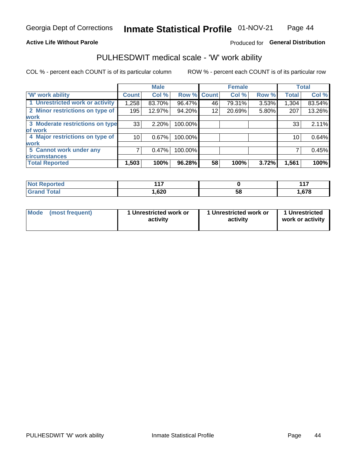## **Active Life Without Parole**

## Produced for General Distribution

# PULHESDWIT medical scale - 'W' work ability

COL % - percent each COUNT is of its particular column

|                                 |              | <b>Male</b> |         |             | <b>Female</b> |       |              | <b>Total</b> |
|---------------------------------|--------------|-------------|---------|-------------|---------------|-------|--------------|--------------|
| <b>W' work ability</b>          | <b>Count</b> | Col %       |         | Row % Count | Col %         | Row % | <b>Total</b> | Col %        |
| 1 Unrestricted work or activity | 1,258        | 83.70%      | 96.47%  | 46          | 79.31%        | 3.53% | 1,304        | 83.54%       |
| 2 Minor restrictions on type of | 195          | 12.97%      | 94.20%  | 12          | 20.69%        | 5.80% | 207          | 13.26%       |
| <b>work</b>                     |              |             |         |             |               |       |              |              |
| 3 Moderate restrictions on type | 33           | 2.20%       | 100.00% |             |               |       | 33           | 2.11%        |
| lof work                        |              |             |         |             |               |       |              |              |
| 4 Major restrictions on type of | 10           | 0.67%       | 100.00% |             |               |       | 10           | 0.64%        |
| <b>work</b>                     |              |             |         |             |               |       |              |              |
| 5 Cannot work under any         |              | 0.47%       | 100.00% |             |               |       |              | 0.45%        |
| <b>circumstances</b>            |              |             |         |             |               |       |              |              |
| <b>Total Reported</b>           | 1,503        | 100%        | 96.28%  | 58          | 100%          | 3.72% | 1,561        | 100%         |

| <b>Not Reported</b>     | 447  |    | 447  |
|-------------------------|------|----|------|
| <b>Total</b><br>Grand . | ,620 | 58 | .678 |

| <b>Mode</b> | (most frequent) | 1 Unrestricted work or<br>activity | 1 Unrestricted work or<br>activity | 1 Unrestricted<br>work or activity |
|-------------|-----------------|------------------------------------|------------------------------------|------------------------------------|
|-------------|-----------------|------------------------------------|------------------------------------|------------------------------------|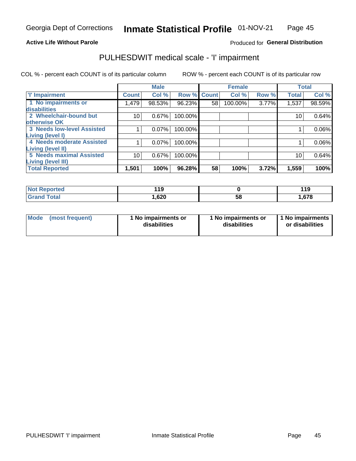### **Active Life Without Parole**

## Produced for General Distribution

# PULHESDWIT medical scale - 'I' impairment

|                                                       |              | <b>Male</b> |             |    | <b>Female</b> |       |              | <b>Total</b> |
|-------------------------------------------------------|--------------|-------------|-------------|----|---------------|-------|--------------|--------------|
| <b>T' Impairment</b>                                  | <b>Count</b> | Col %       | Row % Count |    | Col %         | Row % | <b>Total</b> | Col %        |
| 1 No impairments or<br>disabilities                   | 1,479        | 98.53%      | 96.23%      | 58 | 100.00%       | 3.77% | 1,537        | 98.59%       |
| 2 Wheelchair-bound but<br>otherwise OK                | 10           | 0.67%       | 100.00%     |    |               |       | 10           | 0.64%        |
| <b>3 Needs low-level Assisted</b><br>Living (level I) |              | 0.07%       | 100.00%     |    |               |       |              | 0.06%        |
| 4 Needs moderate Assisted<br>Living (level II)        |              | 0.07%       | 100.00%     |    |               |       |              | 0.06%        |
| <b>5 Needs maximal Assisted</b><br>Living (level III) | 10           | 0.67%       | 100.00%     |    |               |       | 10           | 0.64%        |
| <b>Total Reported</b>                                 | 1,501        | 100%        | 96.28%      | 58 | 100%          | 3.72% | 1,559        | 100%         |

| orted       | 11 O<br>- 11<br>$\sim$ |    | 44 C<br>. |
|-------------|------------------------|----|-----------|
| <b>otal</b> | ,620                   | 58 | .678      |

| Mode | (most frequent) | 1 No impairments or<br>disabilities | 1 No impairments or<br>disabilities | 1 No impairments<br>or disabilities |
|------|-----------------|-------------------------------------|-------------------------------------|-------------------------------------|
|------|-----------------|-------------------------------------|-------------------------------------|-------------------------------------|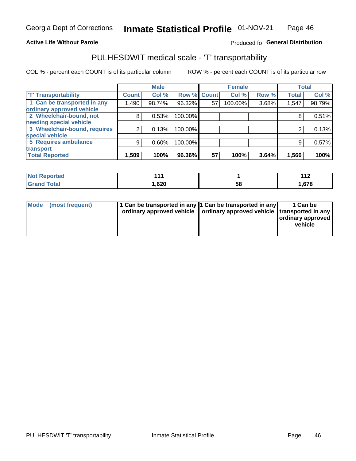### **Active Life Without Parole**

## Produced fo General Distribution

# PULHESDWIT medical scale - 'T' transportability

COL % - percent each COUNT is of its particular column

|                              |              | <b>Male</b> |         |             | <b>Female</b> |       |              | <b>Total</b> |
|------------------------------|--------------|-------------|---------|-------------|---------------|-------|--------------|--------------|
| <b>T' Transportability</b>   | <b>Count</b> | Col %       |         | Row % Count | Col %         | Row % | <b>Total</b> | Col %        |
| 1 Can be transported in any  | 1,490        | 98.74%      | 96.32%  | 57          | 100.00%       | 3.68% | 1,547        | 98.79%       |
| ordinary approved vehicle    |              |             |         |             |               |       |              |              |
| 2 Wheelchair-bound, not      | 8            | 0.53%       | 100.00% |             |               |       |              | 0.51%        |
| needing special vehicle      |              |             |         |             |               |       |              |              |
| 3 Wheelchair-bound, requires |              | 0.13%       | 100.00% |             |               |       |              | 0.13%        |
| special vehicle              |              |             |         |             |               |       |              |              |
| 5 Requires ambulance         | 9            | 0.60%       | 100.00% |             |               |       | 9            | 0.57%        |
| transport                    |              |             |         |             |               |       |              |              |
| <b>Total Reported</b>        | 1,509        | 100%        | 96.36%  | 57          | 100%          | 3.64% | 1,566        | 100%         |

| orted       | 4 A  |    | 1 A C<br>$\mathbf{1}$ |
|-------------|------|----|-----------------------|
| <b>otal</b> | ,620 | 58 | 678، ،                |

| <b>Mode</b> | (most frequent) | 1 Can be transported in any 1 Can be transported in any | ordinary approved vehicle   ordinary approved vehicle   transported in any | 1 Can be<br>  ordinary approved  <br>vehicle |
|-------------|-----------------|---------------------------------------------------------|----------------------------------------------------------------------------|----------------------------------------------|
|-------------|-----------------|---------------------------------------------------------|----------------------------------------------------------------------------|----------------------------------------------|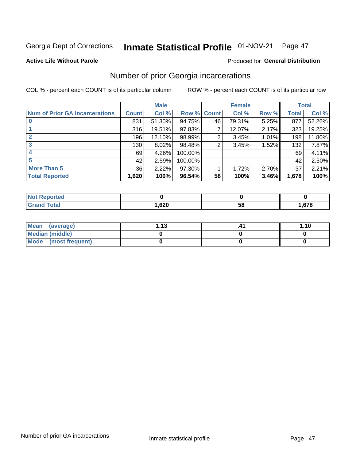# Inmate Statistical Profile 01-NOV-21 Page 47

### **Active Life Without Parole**

### Produced for General Distribution

# Number of prior Georgia incarcerations

COL % - percent each COUNT is of its particular column

|                                       |       | <b>Male</b> |             |    | <b>Female</b> |       |       | <b>Total</b> |
|---------------------------------------|-------|-------------|-------------|----|---------------|-------|-------|--------------|
| <b>Num of Prior GA Incarcerations</b> | Count | Col %       | Row % Count |    | Col %         | Row % | Total | Col %        |
|                                       | 831   | 51.30%      | 94.75%      | 46 | 79.31%        | 5.25% | 877   | 52.26%       |
|                                       | 316   | 19.51%      | $97.83\%$   |    | 12.07%        | 2.17% | 323   | 19.25%       |
|                                       | 196   | 12.10%      | 98.99%      | 2  | 3.45%         | 1.01% | 198   | 11.80%       |
| 3                                     | 130   | 8.02%       | 98.48%      | 2  | 3.45%         | 1.52% | 132   | 7.87%        |
| 4                                     | 69    | 4.26%       | 100.00%     |    |               |       | 69    | 4.11%        |
| 5                                     | 42    | 2.59%       | 100.00%     |    |               |       | 42    | 2.50%        |
| <b>More Than 5</b>                    | 36    | 2.22%       | $97.30\%$   |    | 1.72%         | 2.70% | 37    | 2.21%        |
| <b>Total Reported</b>                 | 1,620 | 100%        | 96.54%      | 58 | 100%          | 3.46% | 1,678 | 100%         |

| <b>orted</b><br><b>NI</b> |        |    |        |
|---------------------------|--------|----|--------|
| <b>otal</b>               | con    | ວເ | $\sim$ |
| $\mathbf{v}$ and          | ∪∡ن, . |    | .010   |

| Mean (average)       | 1 1 2 | 1.10 |
|----------------------|-------|------|
| Median (middle)      |       |      |
| Mode (most frequent) |       |      |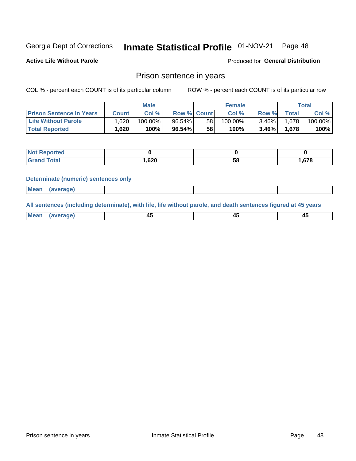#### Inmate Statistical Profile 01-NOV-21 Page 48

**Active Life Without Parole** 

Produced for General Distribution

## Prison sentence in years

COL % - percent each COUNT is of its particular column

ROW % - percent each COUNT is of its particular row

|                                 | <b>Male</b> |            |                    |                 | <b>Female</b> | Total    |       |         |
|---------------------------------|-------------|------------|--------------------|-----------------|---------------|----------|-------|---------|
| <b>Prison Sentence In Years</b> | Count l     | Col %      | <b>Row % Count</b> |                 | Col %         | Row %    | Total | Col %   |
| <b>Life Without Parole</b>      | .620        | $100.00\%$ | $96.54\%$          | 58              | 100.00%       | $3.46\%$ | 1.678 | 100.00% |
| <b>Total Reported</b>           | 1,620       | 100%       | $96.54\%$          | 58 <sub>1</sub> | $100\%$       | $3.46\%$ | 1,678 | 100%    |

| Reported     |       |    |      |
|--------------|-------|----|------|
| <b>Total</b> | .,620 | 58 | .678 |

### **Determinate (numeric) sentences only**

| <b>Mean</b> | (average) |  |  |
|-------------|-----------|--|--|
|             |           |  |  |

All sentences (including determinate), with life, life without parole, and death sentences figured at 45 years

| $M$ ea<br>(average) | $\sim$ | ,,<br>т. |
|---------------------|--------|----------|
|                     |        |          |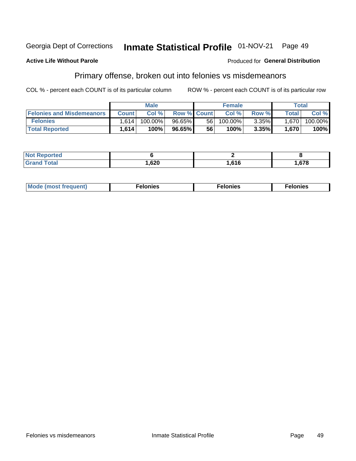#### Inmate Statistical Profile 01-NOV-21 Georgia Dept of Corrections Page 49

### **Active Life Without Parole**

### Produced for General Distribution

# Primary offense, broken out into felonies vs misdemeanors

COL % - percent each COUNT is of its particular column

|                                  | <b>Male</b>  |         |                    | <b>Female</b> |         |       | Total        |         |
|----------------------------------|--------------|---------|--------------------|---------------|---------|-------|--------------|---------|
| <b>Felonies and Misdemeanors</b> | <b>Count</b> | Col%    | <b>Row % Count</b> |               | Col%    | Row % | <b>Total</b> | Col %   |
| <b>Felonies</b>                  | 1.614        | 100.00% | 96.65%             | 56 I          | 100.00% | 3.35% | 1.670        | 100.00% |
| <b>Total Reported</b>            | ,614         | 100%    | 96.65%             | 56            | 100%    | 3.35% | 1.670        | 100%    |

| <b>Not Reported</b>          |      |                           |      |
|------------------------------|------|---------------------------|------|
| <b>Total</b><br><b>Grand</b> | ,620 | C <sub>4</sub> C<br>. טוט | .678 |

| <b>Mode</b><br>frequent)<br>nies<br>≧ (most tr.<br>. | onies<br>. | lonies<br>ею<br>____ |
|------------------------------------------------------|------------|----------------------|
|------------------------------------------------------|------------|----------------------|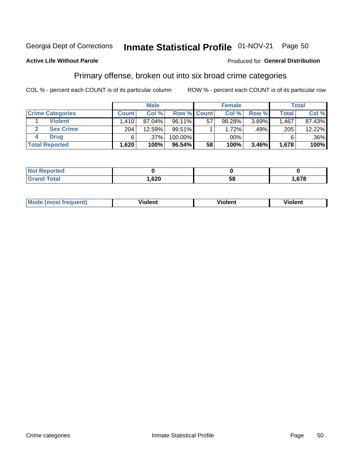#### Inmate Statistical Profile 01-NOV-21 Georgia Dept of Corrections

Page 50

## **Active Life Without Parole**

# Produced for General Distribution

# Primary offense, broken out into six broad crime categories

COL % - percent each COUNT is of its particular column

|                         | <b>Male</b>  |         |         | <b>Female</b>      |        |       | <b>Total</b> |         |
|-------------------------|--------------|---------|---------|--------------------|--------|-------|--------------|---------|
| <b>Crime Categories</b> | <b>Count</b> | Col%    |         | <b>Row % Count</b> | Col %  | Row % | <b>Total</b> | Col %   |
| <b>Violent</b>          | 1.410        | 87.04%  | 96.11%  | 57                 | 98.28% | 3.89% | 1,467        | 87.43%  |
| <b>Sex Crime</b>        | 204          | 12.59%  | 99.51%  |                    | 1.72%  | .49%  | 205          | 12.22%  |
| <b>Drug</b>             | 6            | $.37\%$ | 100.00% |                    | .00%   |       | 6            | $.36\%$ |
| <b>Total Reported</b>   | 1,620        | 100%    | 96.54%  | 58                 | 100%   | 3.46% | 1,678        | 100%    |

| .           |      |    |      |
|-------------|------|----|------|
| -<br>______ | ,620 | 58 | .678 |

| Mo<br>auenti | --<br>iolent | <br>olent<br>ли | <br>วlent |
|--------------|--------------|-----------------|-----------|
|              |              |                 |           |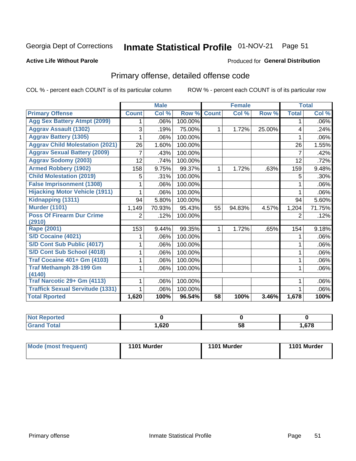# Inmate Statistical Profile 01-NOV-21 Page 51

### **Active Life Without Parole**

### Produced for General Distribution

# Primary offense, detailed offense code

COL % - percent each COUNT is of its particular column

|                                         |              | <b>Male</b>                |         |              | <b>Female</b>             |        |              | <b>Total</b> |
|-----------------------------------------|--------------|----------------------------|---------|--------------|---------------------------|--------|--------------|--------------|
| <b>Primary Offense</b>                  | <b>Count</b> | $\overline{\text{Col }^9}$ | Row %   | <b>Count</b> | $\overline{\text{Col}}$ % | Row %  | <b>Total</b> | Col %        |
| <b>Agg Sex Battery Atmpt (2099)</b>     |              | .06%                       | 100.00% |              |                           |        | 1            | .06%         |
| <b>Aggrav Assault (1302)</b>            | 3            | .19%                       | 75.00%  | 1            | 1.72%                     | 25.00% | 4            | .24%         |
| <b>Aggrav Battery (1305)</b>            |              | .06%                       | 100.00% |              |                           |        |              | .06%         |
| <b>Aggrav Child Molestation (2021)</b>  | 26           | 1.60%                      | 100.00% |              |                           |        | 26           | 1.55%        |
| <b>Aggrav Sexual Battery (2009)</b>     |              | .43%                       | 100.00% |              |                           |        | 7            | .42%         |
| <b>Aggrav Sodomy (2003)</b>             | 12           | .74%                       | 100.00% |              |                           |        | 12           | .72%         |
| <b>Armed Robbery (1902)</b>             | 158          | 9.75%                      | 99.37%  | 1            | 1.72%                     | .63%   | 159          | 9.48%        |
| <b>Child Molestation (2019)</b>         | 5            | .31%                       | 100.00% |              |                           |        | 5            | .30%         |
| <b>False Imprisonment (1308)</b>        |              | .06%                       | 100.00% |              |                           |        | 1            | .06%         |
| <b>Hijacking Motor Vehicle (1911)</b>   |              | .06%                       | 100.00% |              |                           |        |              | .06%         |
| Kidnapping (1311)                       | 94           | 5.80%                      | 100.00% |              |                           |        | 94           | 5.60%        |
| <b>Murder (1101)</b>                    | 1,149        | 70.93%                     | 95.43%  | 55           | 94.83%                    | 4.57%  | 1,204        | 71.75%       |
| <b>Poss Of Firearm Dur Crime</b>        | 2            | .12%                       | 100.00% |              |                           |        | 2            | .12%         |
| (2910)                                  |              |                            |         |              |                           |        |              |              |
| Rape (2001)                             | 153          | 9.44%                      | 99.35%  | 1            | 1.72%                     | .65%   | 154          | 9.18%        |
| S/D Cocaine (4021)                      |              | .06%                       | 100.00% |              |                           |        |              | .06%         |
| S/D Cont Sub Public (4017)              |              | .06%                       | 100.00% |              |                           |        |              | .06%         |
| S/D Cont Sub School (4018)              |              | .06%                       | 100.00% |              |                           |        | 1            | .06%         |
| <b>Traf Cocaine 401+ Gm (4103)</b>      |              | .06%                       | 100.00% |              |                           |        | 1            | .06%         |
| <b>Traf Methamph 28-199 Gm</b>          |              | .06%                       | 100.00% |              |                           |        | 1            | .06%         |
| (4140)                                  |              |                            |         |              |                           |        |              |              |
| Traf Narcotic 29+ Gm (4113)             |              | .06%                       | 100.00% |              |                           |        |              | .06%         |
| <b>Traffick Sexual Servitude (1331)</b> |              | .06%                       | 100.00% |              |                           |        |              | .06%         |
| <b>Total Rported</b>                    | 1,620        | 100%                       | 96.54%  | 58           | 100%                      | 3.46%  | 1,678        | 100%         |

| <b>Not</b><br><b>orted</b><br>₹еос |      |          |      |
|------------------------------------|------|----------|------|
| <b>Total</b>                       | ,620 | --<br>58 | ,678 |

| Mode (most frequent) | 1101 Murder | 1101 Murder | 1101 Murder |
|----------------------|-------------|-------------|-------------|
|----------------------|-------------|-------------|-------------|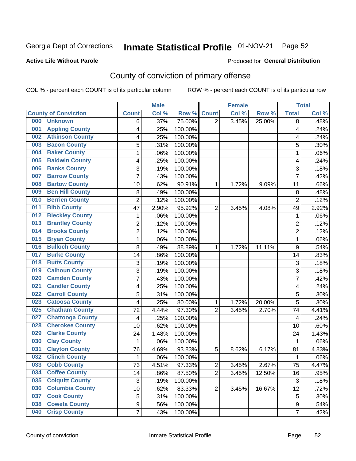# Inmate Statistical Profile 01-NOV-21 Page 52

### **Active Life Without Parole**

### Produced for General Distribution

# County of conviction of primary offense

COL % - percent each COUNT is of its particular column

|                                |                  | <b>Male</b> |         |                | <b>Female</b> |        |                | <b>Total</b> |
|--------------------------------|------------------|-------------|---------|----------------|---------------|--------|----------------|--------------|
| <b>County of Conviction</b>    | <b>Count</b>     | Col %       | Row %   | <b>Count</b>   | Col %         | Row %  | <b>Total</b>   | Col %        |
| 000<br><b>Unknown</b>          | 6                | .37%        | 75.00%  | $\overline{2}$ | 3.45%         | 25.00% | 8              | .48%         |
| <b>Appling County</b><br>001   | 4                | .25%        | 100.00% |                |               |        | 4              | .24%         |
| <b>Atkinson County</b><br>002  | 4                | .25%        | 100.00% |                |               |        | 4              | .24%         |
| <b>Bacon County</b><br>003     | 5                | .31%        | 100.00% |                |               |        | 5              | .30%         |
| <b>Baker County</b><br>004     | $\mathbf{1}$     | .06%        | 100.00% |                |               |        | $\mathbf{1}$   | .06%         |
| <b>Baldwin County</b><br>005   | 4                | .25%        | 100.00% |                |               |        | 4              | .24%         |
| <b>Banks County</b><br>006     | 3                | .19%        | 100.00% |                |               |        | 3              | .18%         |
| <b>Barrow County</b><br>007    | $\overline{7}$   | .43%        | 100.00% |                |               |        | $\overline{7}$ | .42%         |
| <b>Bartow County</b><br>008    | 10               | .62%        | 90.91%  | 1              | 1.72%         | 9.09%  | 11             | .66%         |
| <b>Ben Hill County</b><br>009  | 8                | .49%        | 100.00% |                |               |        | 8              | .48%         |
| <b>Berrien County</b><br>010   | $\overline{c}$   | .12%        | 100.00% |                |               |        | $\overline{2}$ | .12%         |
| <b>Bibb County</b><br>011      | 47               | 2.90%       | 95.92%  | $\overline{2}$ | 3.45%         | 4.08%  | 49             | 2.92%        |
| <b>Bleckley County</b><br>012  | 1                | .06%        | 100.00% |                |               |        | 1              | .06%         |
| <b>Brantley County</b><br>013  | $\overline{2}$   | .12%        | 100.00% |                |               |        | $\overline{2}$ | .12%         |
| <b>Brooks County</b><br>014    | $\overline{2}$   | .12%        | 100.00% |                |               |        | $\overline{2}$ | .12%         |
| <b>Bryan County</b><br>015     | $\mathbf{1}$     | .06%        | 100.00% |                |               |        | $\mathbf{1}$   | .06%         |
| <b>Bulloch County</b><br>016   | 8                | .49%        | 88.89%  | 1              | 1.72%         | 11.11% | 9              | .54%         |
| <b>Burke County</b><br>017     | 14               | .86%        | 100.00% |                |               |        | 14             | .83%         |
| <b>Butts County</b><br>018     | 3                | .19%        | 100.00% |                |               |        | 3              | .18%         |
| <b>Calhoun County</b><br>019   | $\overline{3}$   | .19%        | 100.00% |                |               |        | $\overline{3}$ | .18%         |
| <b>Camden County</b><br>020    | 7                | .43%        | 100.00% |                |               |        | 7              | .42%         |
| <b>Candler County</b><br>021   | 4                | .25%        | 100.00% |                |               |        | 4              | .24%         |
| <b>Carroll County</b><br>022   | 5                | .31%        | 100.00% |                |               |        | 5              | .30%         |
| <b>Catoosa County</b><br>023   | 4                | .25%        | 80.00%  | 1              | 1.72%         | 20.00% | 5              | .30%         |
| <b>Chatham County</b><br>025   | 72               | 4.44%       | 97.30%  | $\overline{2}$ | 3.45%         | 2.70%  | 74             | 4.41%        |
| <b>Chattooga County</b><br>027 | 4                | .25%        | 100.00% |                |               |        | 4              | .24%         |
| <b>Cherokee County</b><br>028  | 10               | .62%        | 100.00% |                |               |        | 10             | .60%         |
| <b>Clarke County</b><br>029    | 24               | 1.48%       | 100.00% |                |               |        | 24             | 1.43%        |
| <b>Clay County</b><br>030      | $\mathbf{1}$     | .06%        | 100.00% |                |               |        | $\mathbf 1$    | .06%         |
| <b>Clayton County</b><br>031   | 76               | 4.69%       | 93.83%  | 5              | 8.62%         | 6.17%  | 81             | 4.83%        |
| <b>Clinch County</b><br>032    | 1                | .06%        | 100.00% |                |               |        | 1              | .06%         |
| <b>Cobb County</b><br>033      | 73               | 4.51%       | 97.33%  | 2              | 3.45%         | 2.67%  | 75             | 4.47%        |
| <b>Coffee County</b><br>034    | 14               | .86%        | 87.50%  | $\overline{2}$ | 3.45%         | 12.50% | 16             | .95%         |
| 035<br><b>Colquitt County</b>  | $\sqrt{3}$       | .19%        | 100.00% |                |               |        | $\sqrt{3}$     | .18%         |
| <b>Columbia County</b><br>036  | 10               | .62%        | 83.33%  | $\overline{2}$ | 3.45%         | 16.67% | 12             | .72%         |
| <b>Cook County</b><br>037      | 5                | .31%        | 100.00% |                |               |        | 5              | .30%         |
| <b>Coweta County</b><br>038    | $\boldsymbol{9}$ | .56%        | 100.00% |                |               |        | 9              | .54%         |
| <b>Crisp County</b><br>040     | $\overline{7}$   | .43%        | 100.00% |                |               |        | $\overline{7}$ | .42%         |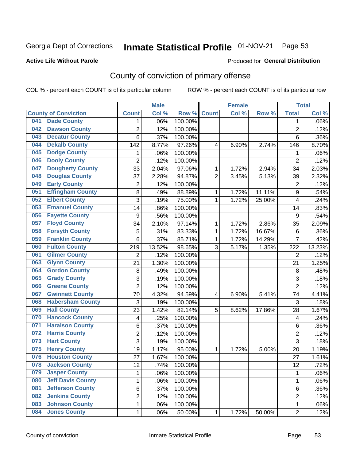# Inmate Statistical Profile 01-NOV-21 Page 53

### **Active Life Without Parole**

### Produced for General Distribution

# County of conviction of primary offense

COL % - percent each COUNT is of its particular column

|     |                             |                  | <b>Male</b> |         |                | <b>Female</b> |        |                | <b>Total</b> |
|-----|-----------------------------|------------------|-------------|---------|----------------|---------------|--------|----------------|--------------|
|     | <b>County of Conviction</b> | <b>Count</b>     | Col %       | Row %   | <b>Count</b>   | Col %         | Row %  | <b>Total</b>   | Col %        |
| 041 | <b>Dade County</b>          | 1                | .06%        | 100.00% |                |               |        | 1              | .06%         |
| 042 | <b>Dawson County</b>        | $\overline{2}$   | .12%        | 100.00% |                |               |        | $\overline{2}$ | .12%         |
| 043 | <b>Decatur County</b>       | 6                | .37%        | 100.00% |                |               |        | 6              | .36%         |
| 044 | <b>Dekalb County</b>        | 142              | 8.77%       | 97.26%  | 4              | 6.90%         | 2.74%  | 146            | 8.70%        |
| 045 | <b>Dodge County</b>         | $\mathbf{1}$     | .06%        | 100.00% |                |               |        | 1              | .06%         |
| 046 | <b>Dooly County</b>         | $\overline{2}$   | .12%        | 100.00% |                |               |        | $\overline{2}$ | .12%         |
| 047 | <b>Dougherty County</b>     | 33               | 2.04%       | 97.06%  | 1              | 1.72%         | 2.94%  | 34             | 2.03%        |
| 048 | <b>Douglas County</b>       | 37               | 2.28%       | 94.87%  | $\overline{2}$ | 3.45%         | 5.13%  | 39             | 2.32%        |
| 049 | <b>Early County</b>         | $\overline{c}$   | .12%        | 100.00% |                |               |        | $\overline{2}$ | .12%         |
| 051 | <b>Effingham County</b>     | 8                | .49%        | 88.89%  | 1              | 1.72%         | 11.11% | 9              | .54%         |
| 052 | <b>Elbert County</b>        | 3                | .19%        | 75.00%  | 1              | 1.72%         | 25.00% | 4              | .24%         |
| 053 | <b>Emanuel County</b>       | 14               | .86%        | 100.00% |                |               |        | 14             | .83%         |
| 056 | <b>Fayette County</b>       | $\boldsymbol{9}$ | .56%        | 100.00% |                |               |        | 9              | .54%         |
| 057 | <b>Floyd County</b>         | 34               | 2.10%       | 97.14%  | 1              | 1.72%         | 2.86%  | 35             | 2.09%        |
| 058 | <b>Forsyth County</b>       | 5                | .31%        | 83.33%  | 1              | 1.72%         | 16.67% | 6              | .36%         |
| 059 | <b>Franklin County</b>      | 6                | .37%        | 85.71%  | 1              | 1.72%         | 14.29% | $\overline{7}$ | .42%         |
| 060 | <b>Fulton County</b>        | 219              | 13.52%      | 98.65%  | 3              | 5.17%         | 1.35%  | 222            | 13.23%       |
| 061 | <b>Gilmer County</b>        | $\overline{2}$   | .12%        | 100.00% |                |               |        | $\overline{2}$ | .12%         |
| 063 | <b>Glynn County</b>         | 21               | 1.30%       | 100.00% |                |               |        | 21             | 1.25%        |
| 064 | <b>Gordon County</b>        | 8                | .49%        | 100.00% |                |               |        | 8              | .48%         |
| 065 | <b>Grady County</b>         | 3                | .19%        | 100.00% |                |               |        | 3              | .18%         |
| 066 | <b>Greene County</b>        | $\overline{2}$   | .12%        | 100.00% |                |               |        | $\overline{2}$ | .12%         |
| 067 | <b>Gwinnett County</b>      | 70               | 4.32%       | 94.59%  | 4              | 6.90%         | 5.41%  | 74             | 4.41%        |
| 068 | <b>Habersham County</b>     | 3                | .19%        | 100.00% |                |               |        | 3              | .18%         |
| 069 | <b>Hall County</b>          | 23               | 1.42%       | 82.14%  | 5              | 8.62%         | 17.86% | 28             | 1.67%        |
| 070 | <b>Hancock County</b>       | 4                | .25%        | 100.00% |                |               |        | 4              | .24%         |
| 071 | <b>Haralson County</b>      | 6                | .37%        | 100.00% |                |               |        | 6              | .36%         |
| 072 | <b>Harris County</b>        | $\overline{c}$   | .12%        | 100.00% |                |               |        | $\overline{c}$ | .12%         |
| 073 | <b>Hart County</b>          | 3                | .19%        | 100.00% |                |               |        | 3              | .18%         |
| 075 | <b>Henry County</b>         | 19               | 1.17%       | 95.00%  | 1              | 1.72%         | 5.00%  | 20             | 1.19%        |
| 076 | <b>Houston County</b>       | 27               | 1.67%       | 100.00% |                |               |        | 27             | 1.61%        |
| 078 | <b>Jackson County</b>       | 12               | .74%        | 100.00% |                |               |        | 12             | .72%         |
| 079 | <b>Jasper County</b>        | $\mathbf{1}$     | .06%        | 100.00% |                |               |        | $\mathbf{1}$   | .06%         |
| 080 | <b>Jeff Davis County</b>    | 1                | .06%        | 100.00% |                |               |        | $\mathbf{1}$   | .06%         |
| 081 | <b>Jefferson County</b>     | 6                | .37%        | 100.00% |                |               |        | 6              | .36%         |
| 082 | <b>Jenkins County</b>       | $\overline{c}$   | .12%        | 100.00% |                |               |        | $\overline{2}$ | .12%         |
| 083 | <b>Johnson County</b>       | $\mathbf 1$      | .06%        | 100.00% |                |               |        | $\mathbf 1$    | .06%         |
| 084 | <b>Jones County</b>         | $\mathbf 1$      | .06%        | 50.00%  | 1              | 1.72%         | 50.00% | $\overline{2}$ | .12%         |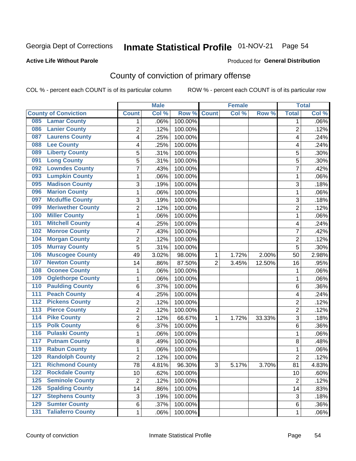# Inmate Statistical Profile 01-NOV-21 Page 54

## **Active Life Without Parole**

### Produced for General Distribution

# County of conviction of primary offense

COL % - percent each COUNT is of its particular column

|                                              |                | <b>Male</b> |         |                | <b>Female</b> |          |                | <b>Total</b> |
|----------------------------------------------|----------------|-------------|---------|----------------|---------------|----------|----------------|--------------|
| <b>County of Conviction</b>                  | <b>Count</b>   | Col %       | Row %   | <b>Count</b>   | Col %         | Row %    | <b>Total</b>   | Col %        |
| <b>Lamar County</b><br>085                   | 1              | .06%        | 100.00% |                |               |          | 1              | $.06\%$      |
| <b>Lanier County</b><br>086                  | $\overline{2}$ | .12%        | 100.00% |                |               |          | $\overline{2}$ | .12%         |
| <b>Laurens County</b><br>087                 | 4              | .25%        | 100.00% |                |               |          | 4              | .24%         |
| <b>Lee County</b><br>088                     | 4              | .25%        | 100.00% |                |               |          | 4              | .24%         |
| <b>Liberty County</b><br>089                 | 5              | .31%        | 100.00% |                |               |          | 5              | .30%         |
| <b>Long County</b><br>091                    | 5              | .31%        | 100.00% |                |               |          | 5              | .30%         |
| <b>Lowndes County</b><br>092                 | 7              | .43%        | 100.00% |                |               |          | $\overline{7}$ | .42%         |
| <b>Lumpkin County</b><br>093                 | 1              | .06%        | 100.00% |                |               |          | 1              | .06%         |
| <b>Madison County</b><br>095                 | 3              | .19%        | 100.00% |                |               |          | 3              | .18%         |
| <b>Marion County</b><br>096                  | 1              | .06%        | 100.00% |                |               |          | $\mathbf{1}$   | .06%         |
| <b>Mcduffie County</b><br>097                | 3              | .19%        | 100.00% |                |               |          | 3              | .18%         |
| <b>Meriwether County</b><br>099              | $\overline{2}$ | .12%        | 100.00% |                |               |          | $\overline{2}$ | .12%         |
| <b>Miller County</b><br>100                  | 1              | .06%        | 100.00% |                |               |          | $\mathbf{1}$   | .06%         |
| <b>Mitchell County</b><br>101                | 4              | .25%        | 100.00% |                |               |          | 4              | .24%         |
| <b>Monroe County</b><br>102                  | 7              | .43%        | 100.00% |                |               |          | $\overline{7}$ | .42%         |
| <b>Morgan County</b><br>104                  | $\overline{2}$ | .12%        | 100.00% |                |               |          | $\overline{2}$ | .12%         |
| <b>Murray County</b><br>105                  | 5              | .31%        | 100.00% |                |               |          | 5              | .30%         |
| <b>Muscogee County</b><br>106                | 49             | 3.02%       | 98.00%  | 1              | 1.72%         | 2.00%    | 50             | 2.98%        |
| <b>Newton County</b><br>107                  | 14             | .86%        | 87.50%  | $\overline{2}$ | 3.45%         | 12.50%   | 16             | .95%         |
| <b>Oconee County</b><br>108                  | 1              | .06%        | 100.00% |                |               |          | 1              | .06%         |
| <b>Oglethorpe County</b><br>109              | 1              | .06%        | 100.00% |                |               |          | 1              | .06%         |
| <b>Paulding County</b><br>110                | 6              | .37%        | 100.00% |                |               |          | 6              | .36%         |
| <b>Peach County</b><br>111                   | 4              | .25%        | 100.00% |                |               |          | 4              | .24%         |
| <b>Pickens County</b><br>$\overline{112}$    | $\overline{2}$ | .12%        | 100.00% |                |               |          | $\overline{2}$ | .12%         |
| <b>Pierce County</b><br>113                  | 2              | .12%        | 100.00% |                |               |          | $\overline{2}$ | .12%         |
| <b>Pike County</b><br>$\overline{114}$       | $\overline{2}$ | .12%        | 66.67%  | 1              | 1.72%         | 33.33%   | 3              | .18%         |
| <b>Polk County</b><br>$\overline{115}$       | 6              | .37%        | 100.00% |                |               |          | 6              | .36%         |
| <b>Pulaski County</b><br>116                 | 1              | .06%        | 100.00% |                |               |          | $\mathbf{1}$   | .06%         |
| <b>Putnam County</b><br>117                  | 8              | .49%        | 100.00% |                |               |          | 8              | .48%         |
| <b>Rabun County</b><br>119                   | 1              | .06%        | 100.00% |                |               |          | $\mathbf{1}$   | .06%         |
| <b>Randolph County</b><br>120                | $\overline{2}$ | .12%        | 100.00% |                |               |          | $\overline{2}$ | .12%         |
| <b>Richmond County</b><br>121                | 78             | 4.81%       | 96.30%  | 3              | 5.17%         | $3.70\%$ | 81             | 4.83%        |
| <b>Rockdale County</b><br>122                | 10             | .62%        | 100.00% |                |               |          | 10             | .60%         |
| <b>Seminole County</b><br>$125$              | $\overline{2}$ | .12%        | 100.00% |                |               |          | $\overline{2}$ | .12%         |
| <b>Spalding County</b><br>126                | 14             | .86%        | 100.00% |                |               |          | 14             | .83%         |
| <b>Stephens County</b><br>127                | 3              | .19%        | 100.00% |                |               |          | 3              | .18%         |
| <b>Sumter County</b><br>129                  | 6              | .37%        | 100.00% |                |               |          | 6              | .36%         |
| <b>Taliaferro County</b><br>$\overline{131}$ | $\mathbf{1}$   | .06%        | 100.00% |                |               |          | $\mathbf 1$    | .06%         |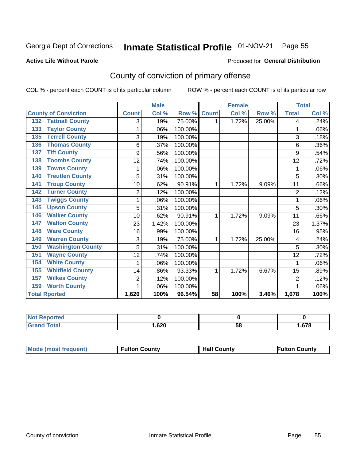# Inmate Statistical Profile 01-NOV-21 Page 55

### **Active Life Without Parole**

### Produced for General Distribution

# County of conviction of primary offense

COL % - percent each COUNT is of its particular column

|                                 |                | <b>Male</b> |         |                 | <b>Female</b>             |        |                | <b>Total</b> |
|---------------------------------|----------------|-------------|---------|-----------------|---------------------------|--------|----------------|--------------|
| <b>County of Conviction</b>     | <b>Count</b>   | Col %       | Row %   | <b>Count</b>    | $\overline{\text{Col}}$ % | Row %  | <b>Total</b>   | Col %        |
| <b>Tattnall County</b><br>132   | 3              | .19%        | 75.00%  | 1               | 1.72%                     | 25.00% | 4              | .24%         |
| <b>Taylor County</b><br>133     | 1              | .06%        | 100.00% |                 |                           |        | 1              | .06%         |
| <b>Terrell County</b><br>135    | 3              | .19%        | 100.00% |                 |                           |        | 3              | .18%         |
| <b>Thomas County</b><br>136     | 6              | .37%        | 100.00% |                 |                           |        | 6              | .36%         |
| <b>Tift County</b><br>137       | 9              | .56%        | 100.00% |                 |                           |        | 9              | .54%         |
| <b>Toombs County</b><br>138     | 12             | .74%        | 100.00% |                 |                           |        | 12             | .72%         |
| <b>Towns County</b><br>139      |                | .06%        | 100.00% |                 |                           |        | 1              | .06%         |
| <b>Treutlen County</b><br>140   | 5              | .31%        | 100.00% |                 |                           |        | 5              | .30%         |
| <b>Troup County</b><br>141      | 10             | .62%        | 90.91%  | 1               | 1.72%                     | 9.09%  | 11             | .66%         |
| <b>Turner County</b><br>142     | $\overline{2}$ | .12%        | 100.00% |                 |                           |        | $\overline{2}$ | .12%         |
| <b>Twiggs County</b><br>143     |                | .06%        | 100.00% |                 |                           |        | 1              | .06%         |
| <b>Upson County</b><br>145      | 5              | .31%        | 100.00% |                 |                           |        | 5              | .30%         |
| <b>Walker County</b><br>146     | 10             | .62%        | 90.91%  | 1               | 1.72%                     | 9.09%  | 11             | .66%         |
| <b>Walton County</b><br>147     | 23             | 1.42%       | 100.00% |                 |                           |        | 23             | 1.37%        |
| <b>Ware County</b><br>148       | 16             | .99%        | 100.00% |                 |                           |        | 16             | .95%         |
| <b>Warren County</b><br>149     | 3              | .19%        | 75.00%  | 1               | 1.72%                     | 25.00% | 4              | .24%         |
| <b>Washington County</b><br>150 | 5              | .31%        | 100.00% |                 |                           |        | 5              | .30%         |
| <b>Wayne County</b><br>151      | 12             | .74%        | 100.00% |                 |                           |        | 12             | .72%         |
| <b>White County</b><br>154      | 1              | .06%        | 100.00% |                 |                           |        | 1              | .06%         |
| <b>Whitfield County</b><br>155  | 14             | .86%        | 93.33%  | 1               | 1.72%                     | 6.67%  | 15             | .89%         |
| <b>Wilkes County</b><br>157     | $\overline{2}$ | .12%        | 100.00% |                 |                           |        | $\overline{2}$ | .12%         |
| <b>Worth County</b><br>159      | 1              | .06%        | 100.00% |                 |                           |        | 1              | .06%         |
| <b>Total Rported</b>            | 1,620          | 100%        | 96.54%  | $\overline{58}$ | 100%                      | 3.46%  | 1,678          | 100%         |

| <b>Not Reported</b> |      |    |      |
|---------------------|------|----|------|
| $\tau$ otal         | ,620 | ບເ | .678 |

| <b>Mode (most frequent)</b> | <b>Fulton County</b> | <b>Hall County</b> | Fulton Countv |
|-----------------------------|----------------------|--------------------|---------------|
|-----------------------------|----------------------|--------------------|---------------|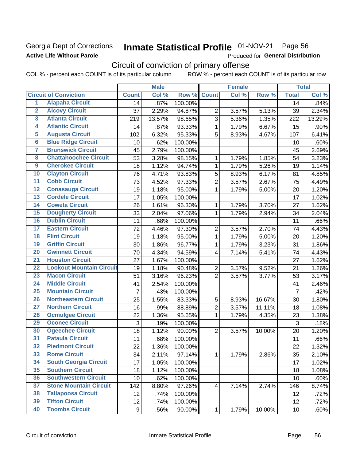## Georgia Dept of Corrections **Active Life Without Parole**

# Inmate Statistical Profile 01-NOV-21 Page 56

Produced for General Distribution

# Circuit of conviction of primary offense

|                         |                                 |                | <b>Male</b> |         |                | <b>Female</b> |        |                 | <b>Total</b> |
|-------------------------|---------------------------------|----------------|-------------|---------|----------------|---------------|--------|-----------------|--------------|
|                         | <b>Circuit of Conviction</b>    | <b>Count</b>   | Col %       | Row %   | <b>Count</b>   | Col %         | Row %  | <b>Total</b>    | Col %        |
| 1                       | <b>Alapaha Circuit</b>          | 14             | .87%        | 100.00% |                |               |        | 14              | .84%         |
| $\overline{2}$          | <b>Alcovy Circuit</b>           | 37             | 2.29%       | 94.87%  | $\overline{2}$ | 3.57%         | 5.13%  | 39              | 2.34%        |
| $\overline{\mathbf{3}}$ | <b>Atlanta Circuit</b>          | 219            | 13.57%      | 98.65%  | 3              | 5.36%         | 1.35%  | 222             | 13.29%       |
| 4                       | <b>Atlantic Circuit</b>         | 14             | .87%        | 93.33%  | $\mathbf{1}$   | 1.79%         | 6.67%  | 15              | .90%         |
| $\overline{\mathbf{5}}$ | <b>Augusta Circuit</b>          | 102            | 6.32%       | 95.33%  | 5              | 8.93%         | 4.67%  | 107             | 6.41%        |
| $\overline{6}$          | <b>Blue Ridge Circuit</b>       | 10             | .62%        | 100.00% |                |               |        | 10              | .60%         |
| 7                       | <b>Brunswick Circuit</b>        | 45             | 2.79%       | 100.00% |                |               |        | 45              | 2.69%        |
| 8                       | <b>Chattahoochee Circuit</b>    | 53             | 3.28%       | 98.15%  | 1              | 1.79%         | 1.85%  | 54              | 3.23%        |
| $\overline{9}$          | <b>Cherokee Circuit</b>         | 18             | 1.12%       | 94.74%  | 1              | 1.79%         | 5.26%  | 19              | 1.14%        |
| 10                      | <b>Clayton Circuit</b>          | 76             | 4.71%       | 93.83%  | 5              | 8.93%         | 6.17%  | 81              | 4.85%        |
| $\overline{11}$         | <b>Cobb Circuit</b>             | 73             | 4.52%       | 97.33%  | $\overline{2}$ | 3.57%         | 2.67%  | 75              | 4.49%        |
| $\overline{12}$         | <b>Conasauga Circuit</b>        | 19             | 1.18%       | 95.00%  | $\mathbf{1}$   | 1.79%         | 5.00%  | 20              | 1.20%        |
| $\overline{13}$         | <b>Cordele Circuit</b>          | 17             | 1.05%       | 100.00% |                |               |        | 17              | 1.02%        |
| $\overline{14}$         | <b>Coweta Circuit</b>           | 26             | 1.61%       | 96.30%  | $\mathbf{1}$   | 1.79%         | 3.70%  | 27              | 1.62%        |
| $\overline{15}$         | <b>Dougherty Circuit</b>        | 33             | 2.04%       | 97.06%  | $\mathbf{1}$   | 1.79%         | 2.94%  | 34              | 2.04%        |
| 16                      | <b>Dublin Circuit</b>           | 11             | .68%        | 100.00% |                |               |        | 11              | .66%         |
| $\overline{17}$         | <b>Eastern Circuit</b>          | 72             | 4.46%       | 97.30%  | $\overline{2}$ | 3.57%         | 2.70%  | 74              | 4.43%        |
| $\overline{18}$         | <b>Flint Circuit</b>            | 19             | 1.18%       | 95.00%  | $\mathbf{1}$   | 1.79%         | 5.00%  | 20              | 1.20%        |
| 19                      | <b>Griffin Circuit</b>          | 30             | 1.86%       | 96.77%  | $\mathbf 1$    | 1.79%         | 3.23%  | 31              | 1.86%        |
| 20                      | <b>Gwinnett Circuit</b>         | 70             | 4.34%       | 94.59%  | 4              | 7.14%         | 5.41%  | 74              | 4.43%        |
| $\overline{21}$         | <b>Houston Circuit</b>          | 27             | 1.67%       | 100.00% |                |               |        | 27              | 1.62%        |
| $\overline{22}$         | <b>Lookout Mountain Circuit</b> | 19             | 1.18%       | 90.48%  | $\overline{2}$ | 3.57%         | 9.52%  | 21              | 1.26%        |
| 23                      | <b>Macon Circuit</b>            | 51             | 3.16%       | 96.23%  | $\overline{2}$ | 3.57%         | 3.77%  | 53              | 3.17%        |
| $\overline{24}$         | <b>Middle Circuit</b>           | 41             | 2.54%       | 100.00% |                |               |        | 41              | 2.46%        |
| $\overline{25}$         | <b>Mountain Circuit</b>         | $\overline{7}$ | .43%        | 100.00% |                |               |        | $\overline{7}$  | .42%         |
| 26                      | <b>Northeastern Circuit</b>     | 25             | 1.55%       | 83.33%  | 5              | 8.93%         | 16.67% | 30              | 1.80%        |
| $\overline{27}$         | <b>Northern Circuit</b>         | 16             | .99%        | 88.89%  | $\overline{2}$ | 3.57%         | 11.11% | 18              | 1.08%        |
| 28                      | <b>Ocmulgee Circuit</b>         | 22             | 1.36%       | 95.65%  | $\mathbf{1}$   | 1.79%         | 4.35%  | 23              | 1.38%        |
| 29                      | <b>Oconee Circuit</b>           | 3              | .19%        | 100.00% |                |               |        | $\mathfrak{S}$  | .18%         |
| 30                      | <b>Ogeechee Circuit</b>         | 18             | 1.12%       | 90.00%  | $\overline{2}$ | 3.57%         | 10.00% | 20              | 1.20%        |
| $\overline{31}$         | <b>Pataula Circuit</b>          | 11             | .68%        | 100.00% |                |               |        | 11              | .66%         |
| 32                      | <b>Piedmont Circuit</b>         | 22             | 1.36%       | 100.00% |                |               |        | 22              | 1.32%        |
| 33                      | <b>Rome Circuit</b>             | 34             | 2.11%       | 97.14%  | $\mathbf 1$    | 1.79%         | 2.86%  | 35              | 2.10%        |
| 34                      | <b>South Georgia Circuit</b>    | 17             | 1.05%       | 100.00% |                |               |        | 17              | 1.02%        |
| 35                      | <b>Southern Circuit</b>         | 18             | 1.12%       | 100.00% |                |               |        | 18              | 1.08%        |
| 36                      | <b>Southwestern Circuit</b>     | 10             | .62%        | 100.00% |                |               |        | 10              | .60%         |
| 37                      | <b>Stone Mountain Circuit</b>   | 142            | 8.80%       | 97.26%  | 4              | 7.14%         | 2.74%  | 146             | 8.74%        |
| 38                      | <b>Tallapoosa Circuit</b>       | 12             | .74%        | 100.00% |                |               |        | 12              | .72%         |
| 39                      | <b>Tifton Circuit</b>           | 12             | .74%        | 100.00% |                |               |        | 12              | .72%         |
| 40                      | <b>Toombs Circuit</b>           | 9              | .56%        | 90.00%  | $\mathbf{1}$   | 1.79%         | 10.00% | 10 <sub>1</sub> | .60%         |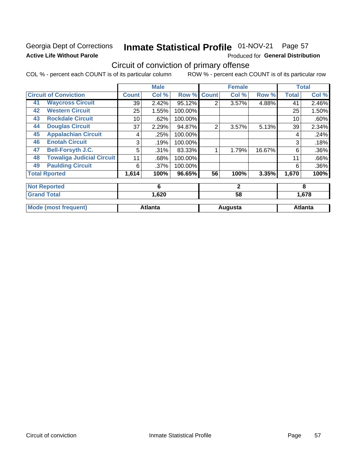# Georgia Dept of Corrections **Active Life Without Parole**

### Inmate Statistical Profile 01-NOV-21 Page 57

Produced for General Distribution

# Circuit of conviction of primary offense

|    |                                  |              | <b>Male</b>    |         |              | <b>Female</b> |        |              | <b>Total</b>   |
|----|----------------------------------|--------------|----------------|---------|--------------|---------------|--------|--------------|----------------|
|    | <b>Circuit of Conviction</b>     | <b>Count</b> | Col %          | Row %   | <b>Count</b> | Col %         | Row %  | <b>Total</b> | Col %          |
| 41 | <b>Waycross Circuit</b>          | 39           | 2.42%          | 95.12%  | 2            | 3.57%         | 4.88%  | 41           | 2.46%          |
| 42 | <b>Western Circuit</b>           | 25           | 1.55%          | 100.00% |              |               |        | 25           | 1.50%          |
| 43 | <b>Rockdale Circuit</b>          | 10           | .62%           | 100.00% |              |               |        | 10           | .60%           |
| 44 | <b>Douglas Circuit</b>           | 37           | 2.29%          | 94.87%  | 2            | 3.57%         | 5.13%  | 39           | 2.34%          |
| 45 | <b>Appalachian Circuit</b>       | 4            | .25%           | 100.00% |              |               |        | 4            | .24%           |
| 46 | <b>Enotah Circuit</b>            | 3            | .19%           | 100.00% |              |               |        | 3            | .18%           |
| 47 | <b>Bell-Forsyth J.C.</b>         | 5            | .31%           | 83.33%  |              | 1.79%         | 16.67% | 6            | .36%           |
| 48 | <b>Towaliga Judicial Circuit</b> | 11           | .68%           | 100.00% |              |               |        | 11           | .66%           |
| 49 | <b>Paulding Circuit</b>          | 6            | .37%           | 100.00% |              |               |        | 6            | .36%           |
|    | <b>Total Rported</b>             | 1,614        | 100%           | 96.65%  | 56           | 100%          | 3.35%  | 1,670        | 100%           |
|    | <b>Not Reported</b>              |              | 6              |         |              | $\mathbf{2}$  |        |              | 8              |
|    | <b>Grand Total</b>               |              | 1,620          |         |              | 58            |        |              | 1,678          |
|    | <b>Mode (most frequent)</b>      |              | <b>Atlanta</b> |         |              | Augusta       |        |              | <b>Atlanta</b> |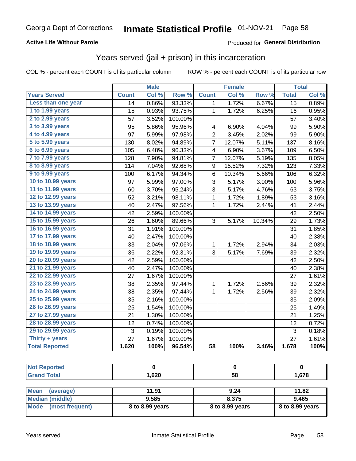## **Active Life Without Parole**

## **Produced for General Distribution**

# Years served (jail + prison) in this incarceration

COL % - percent each COUNT is of its particular column

|                        |              | <b>Male</b> |                  |                  | <b>Female</b>       |        |                 | <b>Total</b> |
|------------------------|--------------|-------------|------------------|------------------|---------------------|--------|-----------------|--------------|
| <b>Years Served</b>    | <b>Count</b> | Col %       | Row <sup>%</sup> | <b>Count</b>     | Col %               | Row %  | <b>Total</b>    | Col %        |
| Less than one year     | 14           | 0.86%       | 93.33%           | 1                | 1.72%               | 6.67%  | $\overline{15}$ | 0.89%        |
| 1 to 1.99 years        | 15           | 0.93%       | 93.75%           | 1                | $\overline{1.72\%}$ | 6.25%  | 16              | 0.95%        |
| 2 to 2.99 years        | 57           | 3.52%       | 100.00%          |                  |                     |        | 57              | 3.40%        |
| 3 to 3.99 years        | 95           | 5.86%       | 95.96%           | 4                | 6.90%               | 4.04%  | 99              | 5.90%        |
| 4 to 4.99 years        | 97           | 5.99%       | 97.98%           | $\overline{c}$   | 3.45%               | 2.02%  | 99              | 5.90%        |
| 5 to 5.99 years        | 130          | 8.02%       | 94.89%           | 7                | 12.07%              | 5.11%  | 137             | 8.16%        |
| 6 to 6.99 years        | 105          | 6.48%       | 96.33%           | 4                | 6.90%               | 3.67%  | 109             | 6.50%        |
| 7 to 7.99 years        | 128          | 7.90%       | 94.81%           | 7                | 12.07%              | 5.19%  | 135             | 8.05%        |
| <b>8 to 8.99 years</b> | 114          | 7.04%       | 92.68%           | $\boldsymbol{9}$ | 15.52%              | 7.32%  | 123             | 7.33%        |
| 9 to 9.99 years        | 100          | 6.17%       | 94.34%           | 6                | 10.34%              | 5.66%  | 106             | 6.32%        |
| 10 to 10.99 years      | 97           | 5.99%       | 97.00%           | 3                | 5.17%               | 3.00%  | 100             | 5.96%        |
| 11 to 11.99 years      | 60           | 3.70%       | 95.24%           | 3                | 5.17%               | 4.76%  | 63              | 3.75%        |
| 12 to 12.99 years      | 52           | 3.21%       | 98.11%           | 1                | 1.72%               | 1.89%  | 53              | 3.16%        |
| 13 to 13.99 years      | 40           | 2.47%       | 97.56%           | $\mathbf 1$      | 1.72%               | 2.44%  | 41              | 2.44%        |
| 14 to 14.99 years      | 42           | 2.59%       | 100.00%          |                  |                     |        | 42              | 2.50%        |
| 15 to 15.99 years      | 26           | 1.60%       | 89.66%           | 3                | 5.17%               | 10.34% | 29              | 1.73%        |
| 16 to 16.99 years      | 31           | 1.91%       | 100.00%          |                  |                     |        | 31              | 1.85%        |
| 17 to 17.99 years      | 40           | 2.47%       | 100.00%          |                  |                     |        | 40              | 2.38%        |
| 18 to 18.99 years      | 33           | 2.04%       | 97.06%           | $\mathbf 1$      | 1.72%               | 2.94%  | 34              | 2.03%        |
| 19 to 19.99 years      | 36           | 2.22%       | 92.31%           | 3                | 5.17%               | 7.69%  | 39              | 2.32%        |
| 20 to 20.99 years      | 42           | 2.59%       | 100.00%          |                  |                     |        | 42              | 2.50%        |
| 21 to 21.99 years      | 40           | 2.47%       | 100.00%          |                  |                     |        | 40              | 2.38%        |
| 22 to 22.99 years      | 27           | 1.67%       | 100.00%          |                  |                     |        | 27              | 1.61%        |
| 23 to 23.99 years      | 38           | 2.35%       | 97.44%           | 1                | 1.72%               | 2.56%  | 39              | 2.32%        |
| 24 to 24.99 years      | 38           | 2.35%       | 97.44%           | $\mathbf{1}$     | 1.72%               | 2.56%  | 39              | 2.32%        |
| 25 to 25.99 years      | 35           | 2.16%       | 100.00%          |                  |                     |        | 35              | 2.09%        |
| 26 to 26.99 years      | 25           | 1.54%       | 100.00%          |                  |                     |        | 25              | 1.49%        |
| 27 to 27.99 years      | 21           | 1.30%       | 100.00%          |                  |                     |        | 21              | 1.25%        |
| 28 to 28.99 years      | 12           | 0.74%       | 100.00%          |                  |                     |        | 12              | 0.72%        |
| 29 to 29.99 years      | 3            | 0.19%       | 100.00%          |                  |                     |        | 3               | 0.18%        |
| Thirty + years         | 27           | 1.67%       | 100.00%          |                  |                     |        | 27              | 1.61%        |
| <b>Total Reported</b>  | 1,620        | 100%        | 96.54%           | $\overline{58}$  | 100%                | 3.46%  | 1,678           | 100%         |

| <b>Not Reported</b> |       |    |       |
|---------------------|-------|----|-------|
| <b>Grand Total</b>  | 1,620 | 58 | .578، |
|                     |       |    |       |

| Mean<br>(average)       | 11.91           | 9.24            | 11.82             |
|-------------------------|-----------------|-----------------|-------------------|
| Median (middle)         | 9.585           | 8.375           | 9.465             |
| Mode<br>(most frequent) | 8 to 8.99 years | 8 to 8.99 years | $8$ to 8.99 years |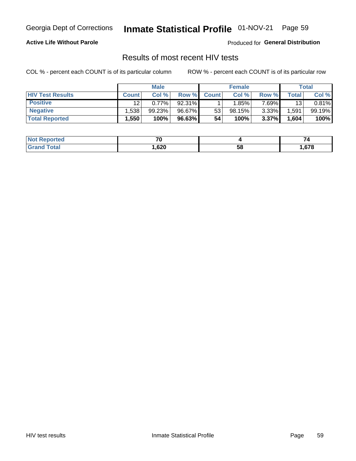# Inmate Statistical Profile 01-NOV-21 Page 59

## **Active Life Without Parole**

Produced for General Distribution

# Results of most recent HIV tests

COL % - percent each COUNT is of its particular column

|                         | <b>Male</b>       |        |        | <b>Female</b> |          |          | Total              |        |
|-------------------------|-------------------|--------|--------|---------------|----------|----------|--------------------|--------|
| <b>HIV Test Results</b> | <b>Count</b>      | Col%   | Row %I | <b>Count</b>  | Col %    | Row %    | Total <sub>1</sub> | Col %  |
| <b>Positive</b>         | 12                | 0.77%  | 92.31% |               | $1.85\%$ | 7 69%∎   | 13                 | 0.81%  |
| <b>Negative</b>         | .538              | 99.23% | 96.67% | 53            | 98.15%   | $3.33\%$ | .591               | 99.19% |
| <b>Total Reported</b>   | .550 <sup>°</sup> | 100%   | 96.63% | 54            | 100%     | 3.37%    | 1,604              | 100%   |

| <b>Not Reported</b> | -~         |    | 70   |
|---------------------|------------|----|------|
| <b>Total</b>        | .620<br>__ | 58 | .678 |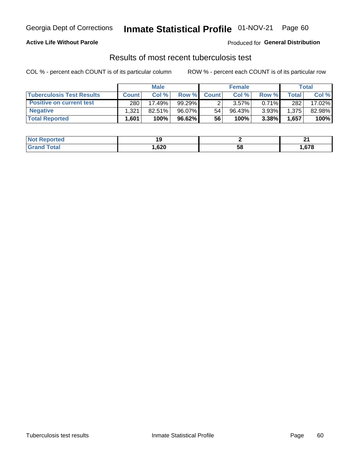# Georgia Dept of Corrections **Inmate Statistical Profile** 01-NOV-21 Page 60

## **Active Life Without Parole**

Produced for **General Distribution**

# Results of most recent tuberculosis test

|                                  | <b>Male</b>  |        |           | <b>Female</b> |          |          | Total |        |
|----------------------------------|--------------|--------|-----------|---------------|----------|----------|-------|--------|
| <b>Tuberculosis Test Results</b> | <b>Count</b> | Col%   | Row %I    | <b>Count</b>  | Col%     | Row %    | Total | Col %  |
| <b>Positive on current test</b>  | 280          | 17.49% | 99.29%    |               | $3.57\%$ | $0.71\%$ | 282   | 17.02% |
| <b>Negative</b>                  | 1,321        | 82.51% | 96.07%    | 54            | 96.43%   | 3.93%    | 1,375 | 82.98% |
| <b>Total Reported</b>            | .601         | 100%   | $96.62\%$ | 56            | 100%     | 3.38%    | 1,657 | 100%   |

| <b>Not Reported</b> |             |    | .<br>- - |
|---------------------|-------------|----|----------|
| <b>Grand Total</b>  | ,620<br>- - | 58 | .678     |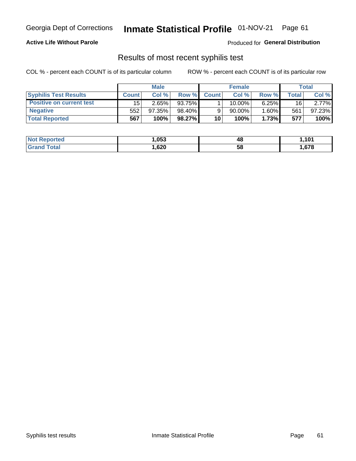# Georgia Dept of Corrections **Inmate Statistical Profile** 01-NOV-21 Page 61

## **Active Life Without Parole**

Produced for **General Distribution**

# Results of most recent syphilis test

|                                 | <b>Male</b>  |        |        | <b>Female</b> |        |          | Total |        |
|---------------------------------|--------------|--------|--------|---------------|--------|----------|-------|--------|
| <b>Syphilis Test Results</b>    | <b>Count</b> | Col%   | Row %  | <b>Count</b>  | Col %  | Row %I   | Total | Col %  |
| <b>Positive on current test</b> | 15           | 2.65%  | 93.75% |               | 10.00% | 6.25%    | 16    | 2.77%  |
| <b>Negative</b>                 | 552          | 97.35% | 98.40% |               | 90.00% | $1.60\%$ | 561   | 97.23% |
| <b>Total Reported</b>           | 567          | 100%   | 98.27% | 10            | 100%   | 1.73%    | 577   | 100%   |

| <b>Not Reported</b> | 053, ا | 48 | .101  |
|---------------------|--------|----|-------|
| <b>Grand Total</b>  | ,620   | 58 | .,678 |